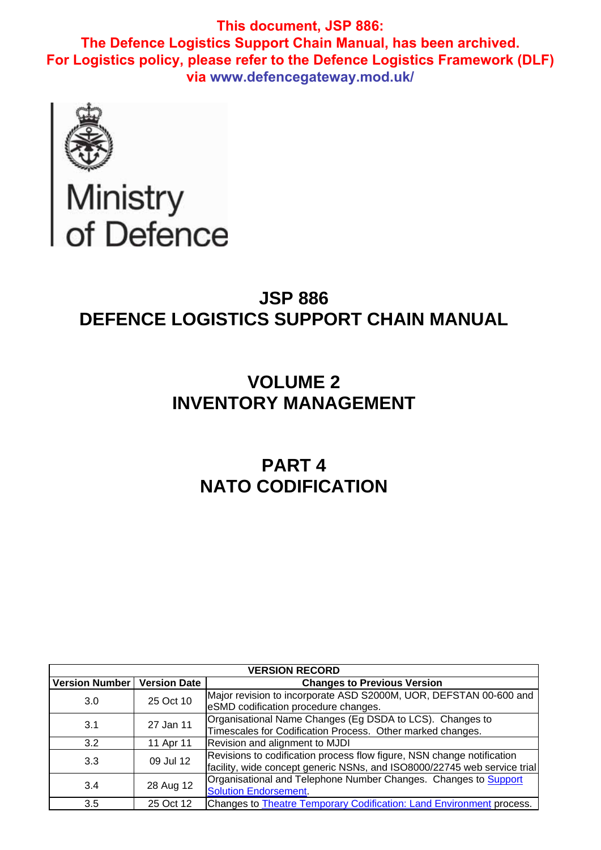

# Ministry<br>of Defence

## **JSP 886 DEFENCE LOGISTICS SUPPORT CHAIN MANUAL**

# **VOLUME 2 INVENTORY MANAGEMENT**

# **PART 4 NATO CODIFICATION**

| <b>VERSION RECORD</b> |                     |                                                                                                                                                    |  |  |  |
|-----------------------|---------------------|----------------------------------------------------------------------------------------------------------------------------------------------------|--|--|--|
| <b>Version Number</b> | <b>Version Date</b> | <b>Changes to Previous Version</b>                                                                                                                 |  |  |  |
| 3.0                   | 25 Oct 10           | Major revision to incorporate ASD S2000M, UOR, DEFSTAN 00-600 and<br>eSMD codification procedure changes.                                          |  |  |  |
| 3.1                   | 27 Jan 11           | Organisational Name Changes (Eg DSDA to LCS). Changes to<br>Timescales for Codification Process. Other marked changes.                             |  |  |  |
| 3.2                   | 11 Apr 11           | Revision and alignment to MJDI                                                                                                                     |  |  |  |
| 3.3                   | 09 Jul 12           | Revisions to codification process flow figure, NSN change notification<br>facility, wide concept generic NSNs, and ISO8000/22745 web service trial |  |  |  |
| 3.4                   | 28 Aug 12           | Organisational and Telephone Number Changes. Changes to Support<br><b>Solution Endorsement.</b>                                                    |  |  |  |
| 3.5                   | 25 Oct 12           | Changes to <b>Theatre Temporary Codification: Land Environment</b> process.                                                                        |  |  |  |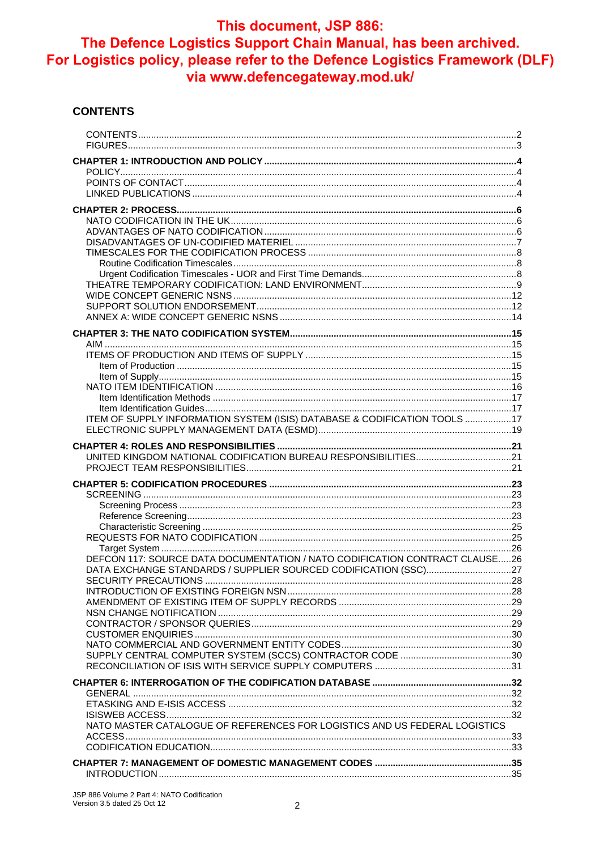#### **CONTENTS**

| ITEM OF SUPPLY INFORMATION SYSTEM (ISIS) DATABASE & CODIFICATION TOOLS 17   |  |
|-----------------------------------------------------------------------------|--|
|                                                                             |  |
|                                                                             |  |
|                                                                             |  |
|                                                                             |  |
|                                                                             |  |
|                                                                             |  |
|                                                                             |  |
|                                                                             |  |
|                                                                             |  |
|                                                                             |  |
| DEFCON 117: SOURCE DATA DOCUMENTATION / NATO CODIFICATION CONTRACT CLAUSE26 |  |
|                                                                             |  |
|                                                                             |  |
|                                                                             |  |
|                                                                             |  |
|                                                                             |  |
|                                                                             |  |
|                                                                             |  |
|                                                                             |  |
|                                                                             |  |
|                                                                             |  |
|                                                                             |  |
| NATO MASTER CATALOGUE OF REFERENCES FOR LOGISTICS AND US FEDERAL LOGISTICS  |  |
|                                                                             |  |
|                                                                             |  |
|                                                                             |  |
|                                                                             |  |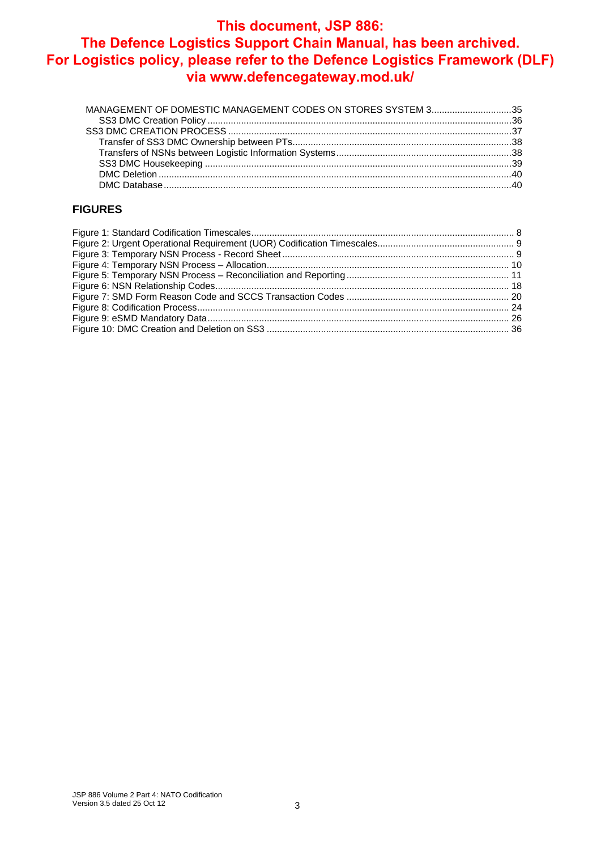## **This document, JSP 886:**

## **The Defence Logistics Support Chain Manual, has been archived. For Logistics policy, please refer to the Defence Logistics Framework (DLF) via www.defencegateway.mod.uk/**

| MANAGEMENT OF DOMESTIC MANAGEMENT CODES ON STORES SYSTEM 335 |  |
|--------------------------------------------------------------|--|
|                                                              |  |
|                                                              |  |
|                                                              |  |
|                                                              |  |
|                                                              |  |
|                                                              |  |
|                                                              |  |

#### **FIGURES**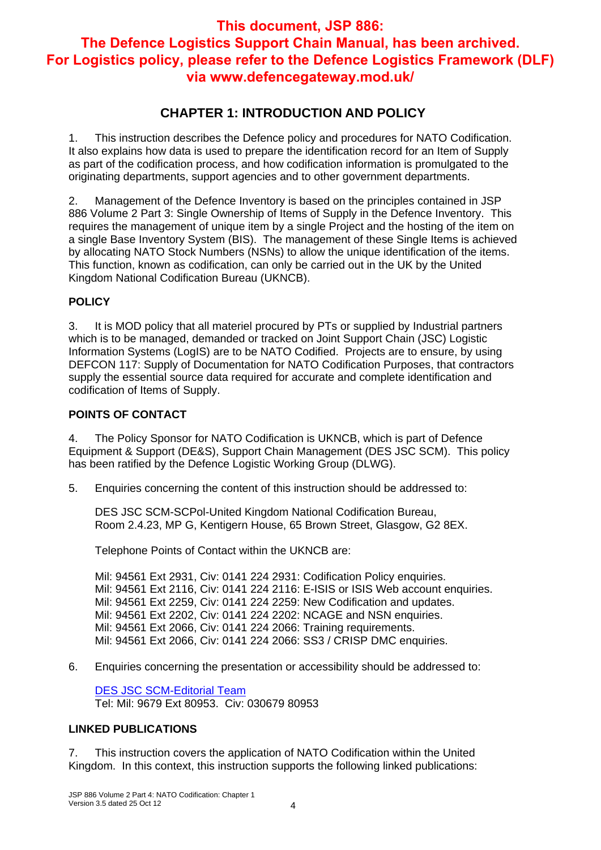## **CHAPTER 1: INTRODUCTION AND POLICY**

1. This instruction describes the Defence policy and procedures for NATO Codification. It also explains how data is used to prepare the identification record for an Item of Supply as part of the codification process, and how codification information is promulgated to the originating departments, support agencies and to other government departments.

2. Management of the Defence Inventory is based on the principles contained in JSP 886 Volume 2 Part 3: Single Ownership of Items of Supply in the Defence Inventory. This requires the management of unique item by a single Project and the hosting of the item on a single Base Inventory System (BIS). The management of these Single Items is achieved by allocating NATO Stock Numbers (NSNs) to allow the unique identification of the items. This function, known as codification, can only be carried out in the UK by the United Kingdom National Codification Bureau (UKNCB).

#### **POLICY**

3. It is MOD policy that all materiel procured by PTs or supplied by Industrial partners which is to be managed, demanded or tracked on Joint Support Chain (JSC) Logistic Information Systems (LogIS) are to be NATO Codified. Projects are to ensure, by using DEFCON 117: Supply of Documentation for NATO Codification Purposes, that contractors supply the essential source data required for accurate and complete identification and codification of Items of Supply.

#### **POINTS OF CONTACT**

4. The Policy Sponsor for NATO Codification is UKNCB, which is part of Defence Equipment & Support (DE&S), Support Chain Management (DES JSC SCM). This policy has been ratified by the Defence Logistic Working Group (DLWG).

5. Enquiries concerning the content of this instruction should be addressed to:

DES JSC SCM-SCPol-United Kingdom National Codification Bureau, Room 2.4.23, MP G, Kentigern House, 65 Brown Street, Glasgow, G2 8EX.

Telephone Points of Contact within the UKNCB are:

Mil: 94561 Ext 2931, Civ: 0141 224 2931: Codification Policy enquiries. Mil: 94561 Ext 2116, Civ: 0141 224 2116: E-ISIS or ISIS Web account enquiries. Mil: 94561 Ext 2259, Civ: 0141 224 2259: New Codification and updates. Mil: 94561 Ext 2202, Civ: 0141 224 2202: NCAGE and NSN enquiries. Mil: 94561 Ext 2066, Civ: 0141 224 2066: Training requirements. Mil: 94561 Ext 2066, Civ: 0141 224 2066: SS3 / CRISP DMC enquiries.

6. Enquiries concerning the presentation or accessibility should be addressed to:

DES JSC SCM-Editorial Team Tel: Mil: 9679 Ext 80953. Civ: 030679 80953

#### **LINKED PUBLICATIONS**

7. This instruction covers the application of NATO Codification within the United Kingdom. In this context, this instruction supports the following linked publications: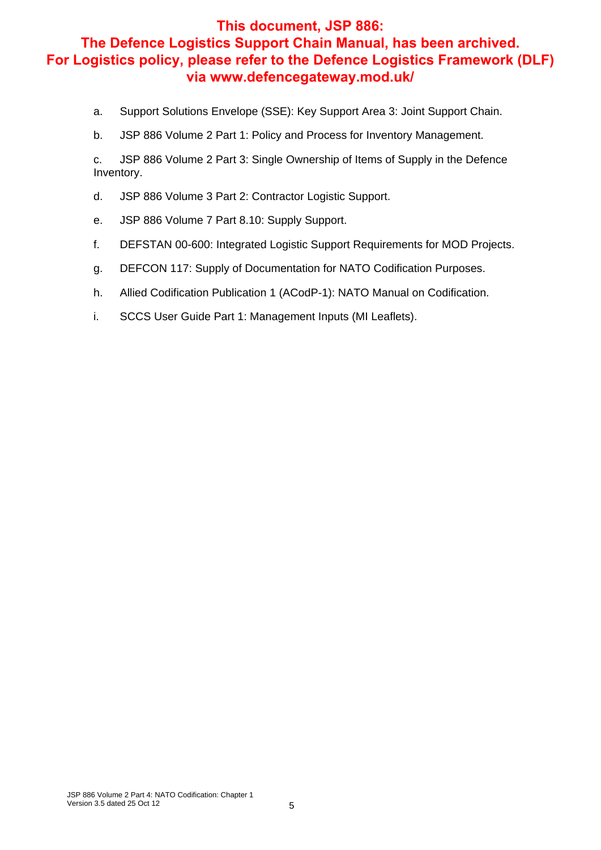- a. Support Solutions Envelope (SSE): Key Support Area 3: Joint Support Chain.
- b. JSP 886 Volume 2 Part 1: Policy and Process for Inventory Management.

c. JSP 886 Volume 2 Part 3: Single Ownership of Items of Supply in the Defence Inventory.

- d. JSP 886 Volume 3 Part 2: Contractor Logistic Support.
- e. JSP 886 Volume 7 Part 8.10: Supply Support.
- f. DEFSTAN 00-600: Integrated Logistic Support Requirements for MOD Projects.
- g. DEFCON 117: Supply of Documentation for NATO Codification Purposes.
- h. Allied Codification Publication 1 (ACodP-1): NATO Manual on Codification.
- i. SCCS User Guide Part 1: Management Inputs (MI Leaflets).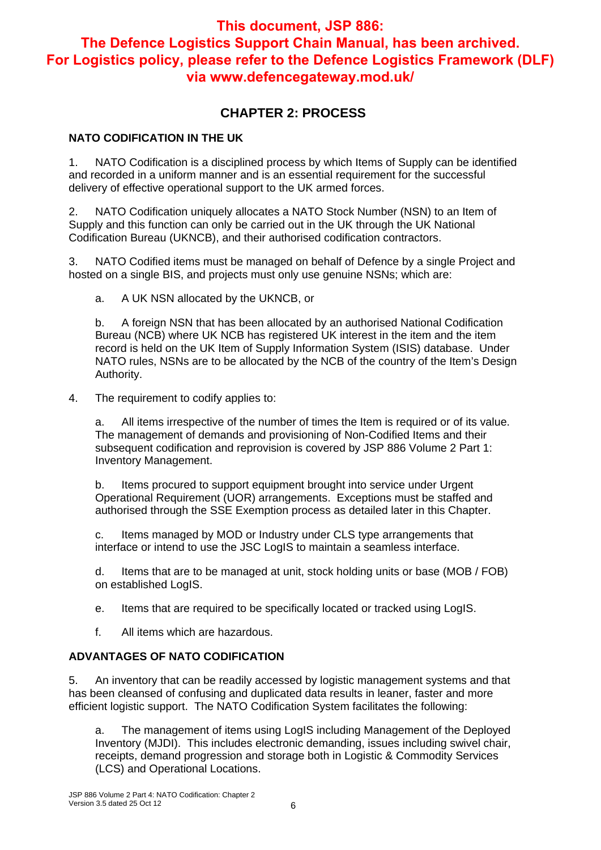## **CHAPTER 2: PROCESS**

#### **NATO CODIFICATION IN THE UK**

1. NATO Codification is a disciplined process by which Items of Supply can be identified and recorded in a uniform manner and is an essential requirement for the successful delivery of effective operational support to the UK armed forces.

2. NATO Codification uniquely allocates a NATO Stock Number (NSN) to an Item of Supply and this function can only be carried out in the UK through the UK National Codification Bureau (UKNCB), and their authorised codification contractors.

3. NATO Codified items must be managed on behalf of Defence by a single Project and hosted on a single BIS, and projects must only use genuine NSNs; which are:

a. A UK NSN allocated by the UKNCB, or

b. A foreign NSN that has been allocated by an authorised National Codification Bureau (NCB) where UK NCB has registered UK interest in the item and the item record is held on the UK Item of Supply Information System (ISIS) database. Under NATO rules, NSNs are to be allocated by the NCB of the country of the Item's Design Authority.

#### 4. The requirement to codify applies to:

a. All items irrespective of the number of times the Item is required or of its value. The management of demands and provisioning of Non-Codified Items and their subsequent codification and reprovision is covered by JSP 886 Volume 2 Part 1: Inventory Management.

b. Items procured to support equipment brought into service under Urgent Operational Requirement (UOR) arrangements. Exceptions must be staffed and authorised through the SSE Exemption process as detailed later in this Chapter.

c. Items managed by MOD or Industry under CLS type arrangements that interface or intend to use the JSC LogIS to maintain a seamless interface.

d. Items that are to be managed at unit, stock holding units or base (MOB / FOB) on established LogIS.

e. Items that are required to be specifically located or tracked using LogIS.

f. All items which are hazardous.

#### **ADVANTAGES OF NATO CODIFICATION**

5. An inventory that can be readily accessed by logistic management systems and that has been cleansed of confusing and duplicated data results in leaner, faster and more efficient logistic support. The NATO Codification System facilitates the following:

a. The management of items using LogIS including Management of the Deployed Inventory (MJDI). This includes electronic demanding, issues including swivel chair, receipts, demand progression and storage both in Logistic & Commodity Services (LCS) and Operational Locations.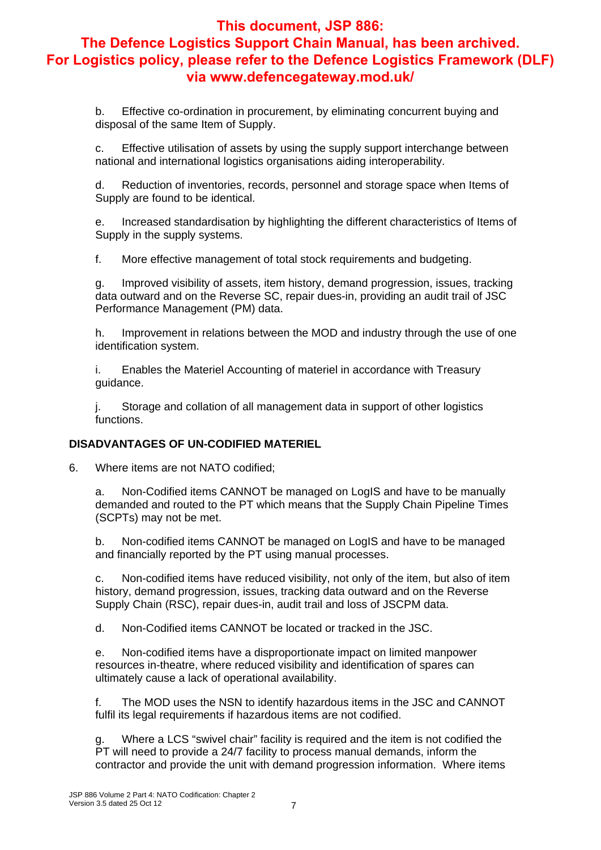b. Effective co-ordination in procurement, by eliminating concurrent buying and disposal of the same Item of Supply.

c. Effective utilisation of assets by using the supply support interchange between national and international logistics organisations aiding interoperability.

d. Reduction of inventories, records, personnel and storage space when Items of Supply are found to be identical.

e. Increased standardisation by highlighting the different characteristics of Items of Supply in the supply systems.

f. More effective management of total stock requirements and budgeting.

g. Improved visibility of assets, item history, demand progression, issues, tracking data outward and on the Reverse SC, repair dues-in, providing an audit trail of JSC Performance Management (PM) data.

h. Improvement in relations between the MOD and industry through the use of one identification system.

i. Enables the Materiel Accounting of materiel in accordance with Treasury guidance.

j. Storage and collation of all management data in support of other logistics functions.

#### **DISADVANTAGES OF UN-CODIFIED MATERIEL**

6. Where items are not NATO codified;

a. Non-Codified items CANNOT be managed on LogIS and have to be manually demanded and routed to the PT which means that the Supply Chain Pipeline Times (SCPTs) may not be met.

b. Non-codified items CANNOT be managed on LogIS and have to be managed and financially reported by the PT using manual processes.

c. Non-codified items have reduced visibility, not only of the item, but also of item history, demand progression, issues, tracking data outward and on the Reverse Supply Chain (RSC), repair dues-in, audit trail and loss of JSCPM data.

d. Non-Codified items CANNOT be located or tracked in the JSC.

e. Non-codified items have a disproportionate impact on limited manpower resources in-theatre, where reduced visibility and identification of spares can ultimately cause a lack of operational availability.

f. The MOD uses the NSN to identify hazardous items in the JSC and CANNOT fulfil its legal requirements if hazardous items are not codified.

Where a LCS "swivel chair" facility is required and the item is not codified the PT will need to provide a 24/7 facility to process manual demands, inform the contractor and provide the unit with demand progression information. Where items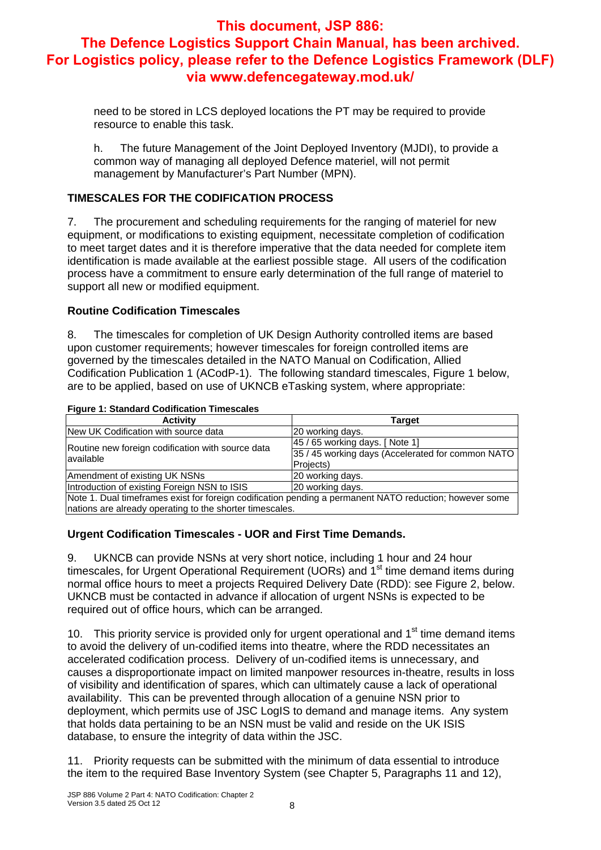need to be stored in LCS deployed locations the PT may be required to provide resource to enable this task.

h. The future Management of the Joint Deployed Inventory (MJDI), to provide a common way of managing all deployed Defence materiel, will not permit management by Manufacturer's Part Number (MPN).

#### **TIMESCALES FOR THE CODIFICATION PROCESS**

7. The procurement and scheduling requirements for the ranging of materiel for new equipment, or modifications to existing equipment, necessitate completion of codification to meet target dates and it is therefore imperative that the data needed for complete item identification is made available at the earliest possible stage. All users of the codification process have a commitment to ensure early determination of the full range of materiel to support all new or modified equipment.

#### **Routine Codification Timescales**

8. The timescales for completion of UK Design Authority controlled items are based upon customer requirements; however timescales for foreign controlled items are governed by the timescales detailed in the NATO Manual on Codification, Allied Codification Publication 1 (ACodP-1). The following standard timescales, Figure 1 below, are to be applied, based on use of UKNCB eTasking system, where appropriate:

#### **Figure 1: Standard Codification Timescales**

| <b>Activity</b>                                                                                         | <b>Target</b>                                     |
|---------------------------------------------------------------------------------------------------------|---------------------------------------------------|
| New UK Codification with source data                                                                    | 20 working days.                                  |
| Routine new foreign codification with source data                                                       | 45 / 65 working days. [ Note 1]                   |
| lavailable                                                                                              | 35 / 45 working days (Accelerated for common NATO |
|                                                                                                         | Projects)                                         |
| Amendment of existing UK NSNs                                                                           | 20 working days.                                  |
| Introduction of existing Foreign NSN to ISIS                                                            | 20 working days.                                  |
| Note 1. Dual timeframes exist for foreign codification pending a permanent NATO reduction; however some |                                                   |
| nations are already operating to the shorter timescales.                                                |                                                   |

#### **Urgent Codification Timescales - UOR and First Time Demands.**

9. UKNCB can provide NSNs at very short notice, including 1 hour and 24 hour timescales, for Urgent Operational Requirement (UORs) and 1<sup>st</sup> time demand items during normal office hours to meet a projects Required Delivery Date (RDD): see Figure 2, below. UKNCB must be contacted in advance if allocation of urgent NSNs is expected to be required out of office hours, which can be arranged.

10. This priority service is provided only for urgent operational and 1<sup>st</sup> time demand items to avoid the delivery of un-codified items into theatre, where the RDD necessitates an accelerated codification process. Delivery of un-codified items is unnecessary, and causes a disproportionate impact on limited manpower resources in-theatre, results in loss of visibility and identification of spares, which can ultimately cause a lack of operational availability. This can be prevented through allocation of a genuine NSN prior to deployment, which permits use of JSC LogIS to demand and manage items. Any system that holds data pertaining to be an NSN must be valid and reside on the UK ISIS database, to ensure the integrity of data within the JSC.

11. Priority requests can be submitted with the minimum of data essential to introduce the item to the required Base Inventory System (see Chapter 5, Paragraphs 11 and 12),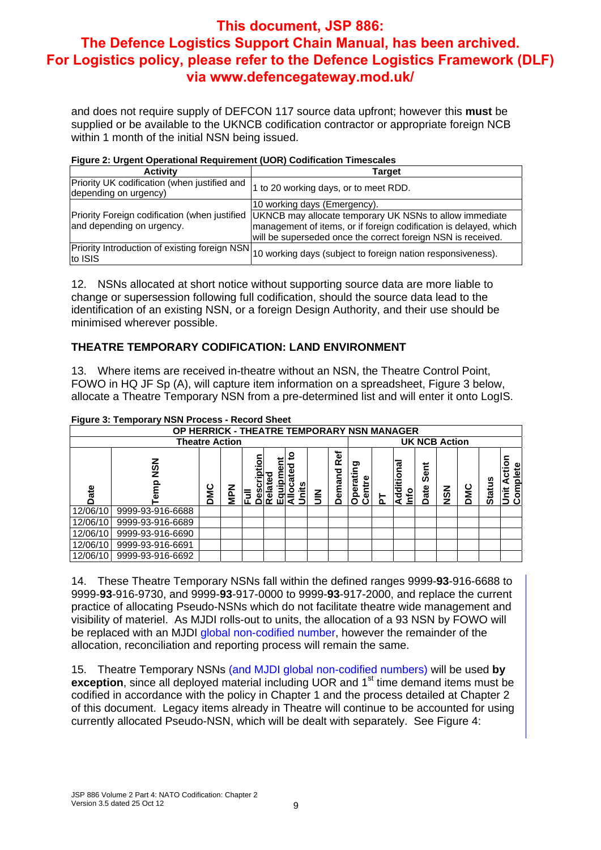and does not require supply of DEFCON 117 source data upfront; however this **must** be supplied or be available to the UKNCB codification contractor or appropriate foreign NCB within 1 month of the initial NSN being issued.

#### **Figure 2: Urgent Operational Requirement (UOR) Codification Timescales**

| <b>Activity</b>                                                            | Target                                                                                                                                                                                       |
|----------------------------------------------------------------------------|----------------------------------------------------------------------------------------------------------------------------------------------------------------------------------------------|
| Priority UK codification (when justified and<br>depending on urgency)      | 1 to 20 working days, or to meet RDD.                                                                                                                                                        |
|                                                                            | 10 working days (Emergency).                                                                                                                                                                 |
| Priority Foreign codification (when justified<br>and depending on urgency. | UKNCB may allocate temporary UK NSNs to allow immediate<br>management of items, or if foreign codification is delayed, which<br>will be superseded once the correct foreign NSN is received. |
| to ISIS                                                                    | Priority Introduction of existing foreign NSN 10 working days (subject to foreign nation responsiveness).                                                                                    |

12. NSNs allocated at short notice without supporting source data are more liable to change or supersession following full codification, should the source data lead to the identification of an existing NSN, or a foreign Design Authority, and their use should be minimised wherever possible.

#### **THEATRE TEMPORARY CODIFICATION: LAND ENVIRONMENT**

13. Where items are received in-theatre without an NSN, the Theatre Control Point, FOWO in HQ JF Sp (A), will capture item information on a spreadsheet, Figure 3 below, allocate a Theatre Temporary NSN from a pre-determined list and will enter it onto LogIS.

|          | <b>1 Marc 0. Temporary NON 1 100033</b><br>ו ושטווט שוועט |     |            |   |  |           |   |               |                                                                                                                                                   |  |  |  |                      |          |  |
|----------|-----------------------------------------------------------|-----|------------|---|--|-----------|---|---------------|---------------------------------------------------------------------------------------------------------------------------------------------------|--|--|--|----------------------|----------|--|
|          | OP HERRICK - THEATRE TEMPORARY NSN MANAGER                |     |            |   |  |           |   |               |                                                                                                                                                   |  |  |  |                      |          |  |
|          | <b>Theatre Action</b>                                     |     |            |   |  |           |   |               |                                                                                                                                                   |  |  |  | <b>UK NCB Action</b> |          |  |
| ate      | NSN<br>eم                                                 | DMC | <b>NAM</b> | 恴 |  | o<br>nits | ≧ | Ref<br>Demand | ã<br>٦ā<br>ᇹ<br>Sent<br>Ū<br>ē<br>စ္<br><b>Status</b><br>Ĩ5<br>a<br>ā<br>DMC<br>Date<br><b>NSN</b><br>Ë<br>Opel<br>ъ<br>lnfo<br>ъ<br>ت<br>۵.<br>σ |  |  |  |                      | Complete |  |
| 12/06/10 | 9999-93-916-6688                                          |     |            |   |  |           |   |               |                                                                                                                                                   |  |  |  |                      |          |  |
| 12/06/10 | 9999-93-916-6689                                          |     |            |   |  |           |   |               |                                                                                                                                                   |  |  |  |                      |          |  |
| 12/06/10 | 9999-93-916-6690                                          |     |            |   |  |           |   |               |                                                                                                                                                   |  |  |  |                      |          |  |
| 12/06/10 | 9999-93-916-6691                                          |     |            |   |  |           |   |               |                                                                                                                                                   |  |  |  |                      |          |  |
| 12/06/10 | 9999-93-916-6692                                          |     |            |   |  |           |   |               |                                                                                                                                                   |  |  |  |                      |          |  |

#### **Figure 3: Temporary NSN Process - Record Sheet**

14. These Theatre Temporary NSNs fall within the defined ranges 9999-**93**-916-6688 to 9999-**93**-916-9730, and 9999-**93**-917-0000 to 9999-**93**-917-2000, and replace the current practice of allocating Pseudo-NSNs which do not facilitate theatre wide management and visibility of materiel. As MJDI rolls-out to units, the allocation of a 93 NSN by FOWO will be replaced with an MJDI global non-codified number, however the remainder of the allocation, reconciliation and reporting process will remain the same.

15. Theatre Temporary NSNs (and MJDI global non-codified numbers) will be used **by exception**, since all deployed material including UOR and 1<sup>st</sup> time demand items must be codified in accordance with the policy in Chapter 1 and the process detailed at Chapter 2 of this document. Legacy items already in Theatre will continue to be accounted for using currently allocated Pseudo-NSN, which will be dealt with separately. See Figure 4: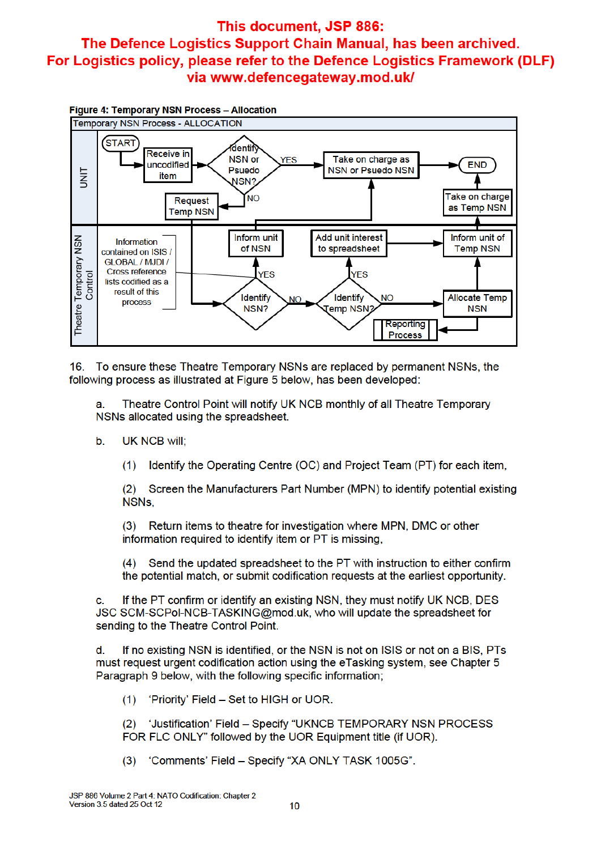

16. To ensure these Theatre Temporary NSNs are replaced by permanent NSNs, the following process as illustrated at Figure 5 below, has been developed:

Theatre Control Point will notify UK NCB monthly of all Theatre Temporary a. NSNs allocated using the spreadsheet.

- **UK NCB will: .** 
	- Identify the Operating Centre (OC) and Project Team (PT) for each item,  $(1)$

Screen the Manufacturers Part Number (MPN) to identify potential existing  $(2)$ NSNs.

Return items to theatre for investigation where MPN, DMC or other  $(3)$ information required to identify item or PT is missing.

Send the updated spreadsheet to the PT with instruction to either confirm  $(4)$ the potential match, or submit codification requests at the earliest opportunity.

If the PT confirm or identify an existing NSN, they must notify UK NCB, DES  $\mathbf{c}$ JSC SCM-SCPol-NCB-TASKING@mod.uk, who will update the spreadsheet for sending to the Theatre Control Point.

If no existing NSN is identified, or the NSN is not on ISIS or not on a BIS, PTs d must request urgent codification action using the eTasking system, see Chapter 5 Paragraph 9 below, with the following specific information;

'Priority' Field - Set to HIGH or UOR.  $(1)$ 

 $(2)$ 'Justification' Field - Specify "UKNCB TEMPORARY NSN PROCESS FOR FLC ONLY" followed by the UOR Equipment title (if UOR).

(3) 'Comments' Field - Specify "XA ONLY TASK 1005G".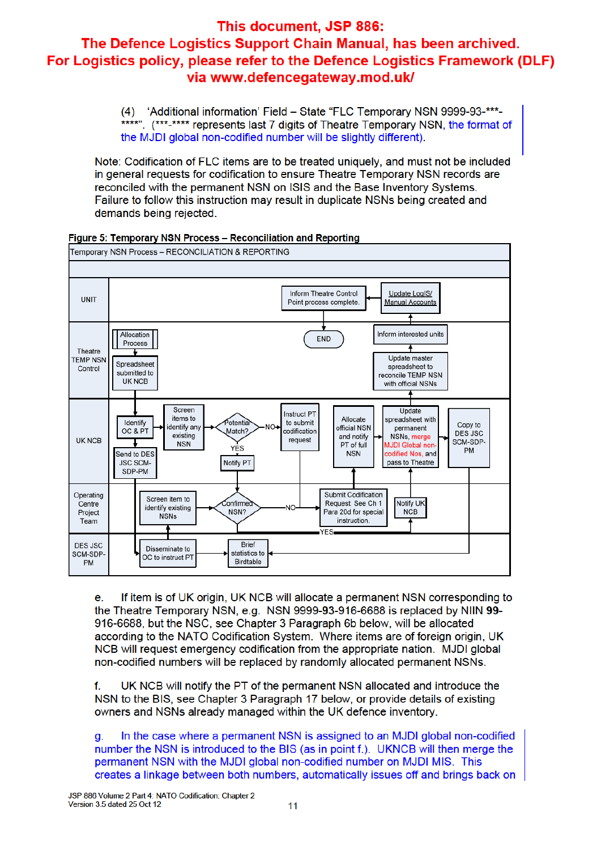(4) 'Additional information' Field - State "FLC Temporary NSN 9999-93-\*\*\*-\*\*\*\*". (\*\*\*-\*\*\*\* represents last 7 digits of Theatre Temporary NSN, the format of the MJDI global non-codified number will be slightly different).

Note: Codification of FLC items are to be treated uniquely, and must not be included in general requests for codification to ensure Theatre Temporary NSN records are reconciled with the permanent NSN on ISIS and the Base Inventory Systems. Failure to follow this instruction may result in duplicate NSNs being created and demands being rejected.



Figure 5: Temporary NSN Process - Reconciliation and Reporting

If item is of UK origin, UK NCB will allocate a permanent NSN corresponding to е. the Theatre Temporary NSN, e.g. NSN 9999-93-916-6688 is replaced by NIIN 99-916-6688, but the NSC, see Chapter 3 Paragraph 6b below, will be allocated according to the NATO Codification System. Where items are of foreign origin, UK NCB will request emergency codification from the appropriate nation. MJDI global non-codified numbers will be replaced by randomly allocated permanent NSNs.

f. UK NCB will notify the PT of the permanent NSN allocated and introduce the NSN to the BIS, see Chapter 3 Paragraph 17 below, or provide details of existing owners and NSNs already managed within the UK defence inventory.

In the case where a permanent NSN is assigned to an MJDI global non-codified a. number the NSN is introduced to the BIS (as in point f.). UKNCB will then merge the permanent NSN with the MJDI global non-codified number on MJDI MIS. This creates a linkage between both numbers, automatically issues off and brings back on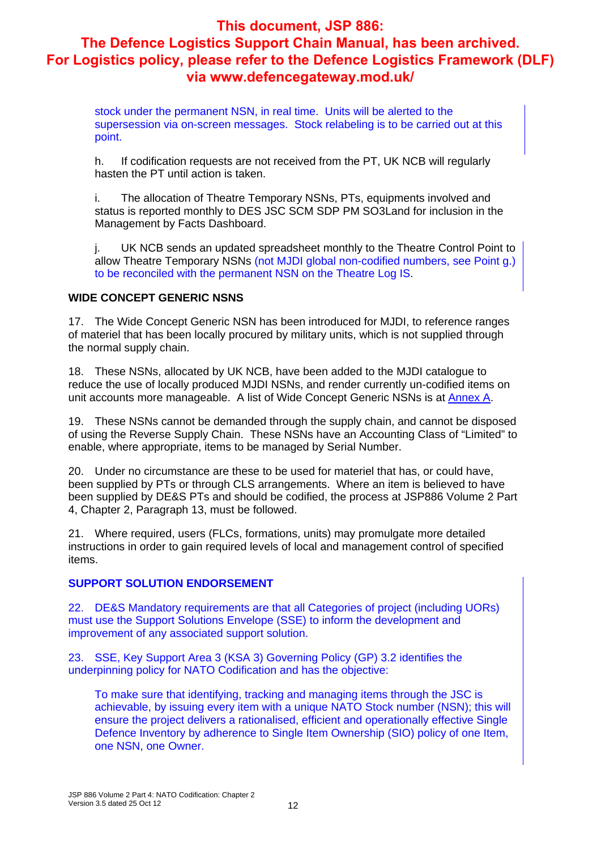stock under the permanent NSN, in real time. Units will be alerted to the supersession via on-screen messages. Stock relabeling is to be carried out at this point.

h. If codification requests are not received from the PT, UK NCB will regularly hasten the PT until action is taken.

i. The allocation of Theatre Temporary NSNs, PTs, equipments involved and status is reported monthly to DES JSC SCM SDP PM SO3Land for inclusion in the Management by Facts Dashboard.

j. UK NCB sends an updated spreadsheet monthly to the Theatre Control Point to allow Theatre Temporary NSNs (not MJDI global non-codified numbers, see Point g.) to be reconciled with the permanent NSN on the Theatre Log IS.

#### **WIDE CONCEPT GENERIC NSNS**

17. The Wide Concept Generic NSN has been introduced for MJDI, to reference ranges of materiel that has been locally procured by military units, which is not supplied through the normal supply chain.

18. These NSNs, allocated by UK NCB, have been added to the MJDI catalogue to reduce the use of locally produced MJDI NSNs, and render currently un-codified items on unit accounts more manageable. A list of Wide Concept Generic NSNs is at **Annex A**.

19. These NSNs cannot be demanded through the supply chain, and cannot be disposed of using the Reverse Supply Chain. These NSNs have an Accounting Class of "Limited" to enable, where appropriate, items to be managed by Serial Number.

20. Under no circumstance are these to be used for materiel that has, or could have, been supplied by PTs or through CLS arrangements. Where an item is believed to have been supplied by DE&S PTs and should be codified, the process at JSP886 Volume 2 Part 4, Chapter 2, Paragraph 13, must be followed.

21. Where required, users (FLCs, formations, units) may promulgate more detailed instructions in order to gain required levels of local and management control of specified items.

#### **SUPPORT SOLUTION ENDORSEMENT**

22. DE&S Mandatory requirements are that all Categories of project (including UORs) must use the Support Solutions Envelope (SSE) to inform the development and improvement of any associated support solution.

23. SSE, Key Support Area 3 (KSA 3) Governing Policy (GP) 3.2 identifies the underpinning policy for NATO Codification and has the objective:

To make sure that identifying, tracking and managing items through the JSC is achievable, by issuing every item with a unique NATO Stock number (NSN); this will ensure the project delivers a rationalised, efficient and operationally effective Single Defence Inventory by adherence to Single Item Ownership (SIO) policy of one Item, one NSN, one Owner.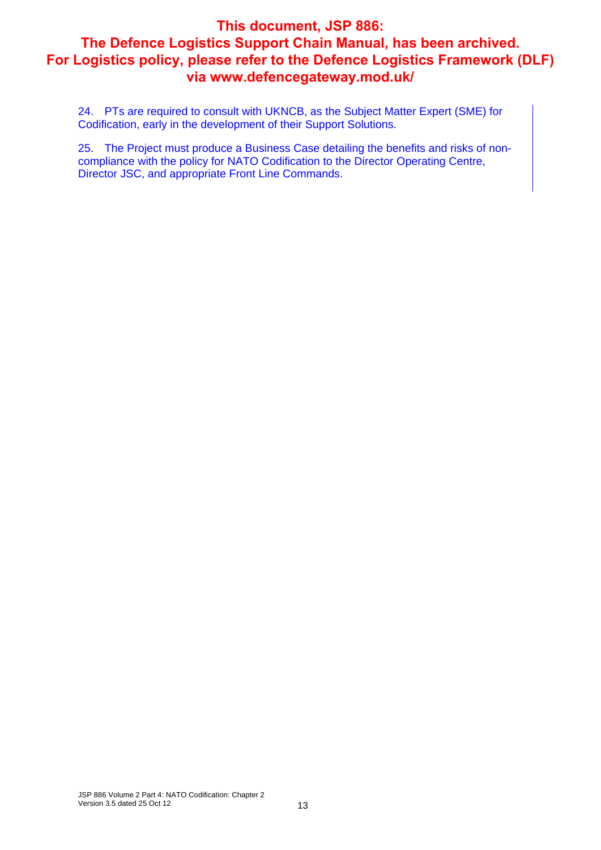24. PTs are required to consult with UKNCB, as the Subject Matter Expert (SME) for Codification, early in the development of their Support Solutions.

25. The Project must produce a Business Case detailing the benefits and risks of noncompliance with the policy for NATO Codification to the Director Operating Centre, Director JSC, and appropriate Front Line Commands.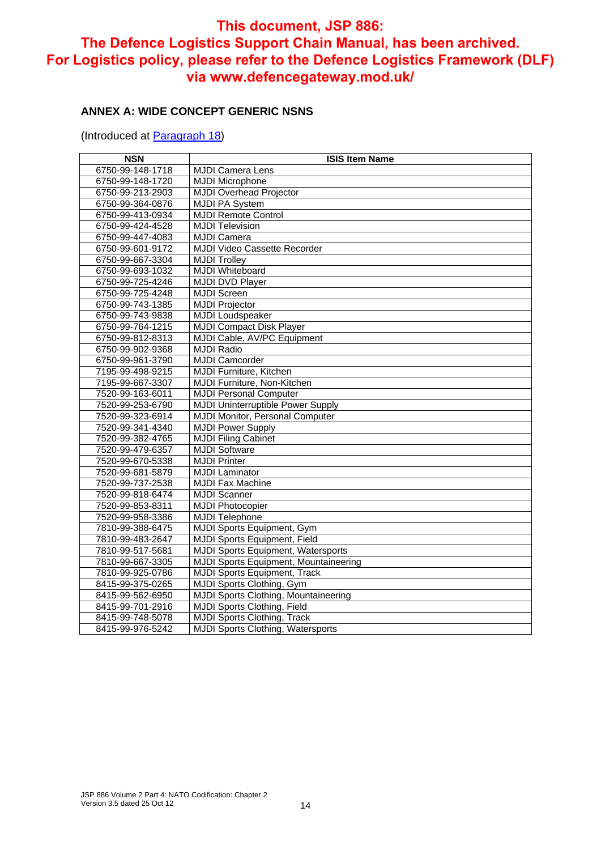#### **ANNEX A: WIDE CONCEPT GENERIC NSNS**

(Introduced at **Paragraph 18)** 

| <b>NSN</b>       | <b>ISIS Item Name</b>                       |
|------------------|---------------------------------------------|
| 6750-99-148-1718 | <b>MJDI Camera Lens</b>                     |
| 6750-99-148-1720 | <b>MJDI Microphone</b>                      |
| 6750-99-213-2903 | <b>MJDI Overhead Projector</b>              |
| 6750-99-364-0876 | <b>MJDI PA System</b>                       |
| 6750-99-413-0934 | <b>MJDI Remote Control</b>                  |
| 6750-99-424-4528 | <b>MJDI Television</b>                      |
| 6750-99-447-4083 | <b>MJDI Camera</b>                          |
| 6750-99-601-9172 | <b>MJDI Video Cassette Recorder</b>         |
| 6750-99-667-3304 | <b>MJDI Trolley</b>                         |
| 6750-99-693-1032 | <b>MJDI Whiteboard</b>                      |
| 6750-99-725-4246 | <b>MJDI DVD Player</b>                      |
| 6750-99-725-4248 | <b>MJDI Screen</b>                          |
| 6750-99-743-1385 | <b>MJDI Projector</b>                       |
| 6750-99-743-9838 | <b>MJDI</b> Loudspeaker                     |
| 6750-99-764-1215 | <b>MJDI Compact Disk Player</b>             |
| 6750-99-812-8313 | MJDI Cable, AV/PC Equipment                 |
| 6750-99-902-9368 | <b>MJDI Radio</b>                           |
| 6750-99-961-3790 | <b>MJDI Camcorder</b>                       |
| 7195-99-498-9215 | <b>MJDI Furniture, Kitchen</b>              |
| 7195-99-667-3307 | MJDI Furniture, Non-Kitchen                 |
| 7520-99-163-6011 | <b>MJDI Personal Computer</b>               |
| 7520-99-253-6790 | <b>MJDI Uninterruptible Power Supply</b>    |
| 7520-99-323-6914 | MJDI Monitor, Personal Computer             |
| 7520-99-341-4340 | <b>MJDI Power Supply</b>                    |
| 7520-99-382-4765 | <b>MJDI Filing Cabinet</b>                  |
| 7520-99-479-6357 | <b>MJDI Software</b>                        |
| 7520-99-670-5338 | <b>MJDI Printer</b>                         |
| 7520-99-681-5879 | <b>MJDI Laminator</b>                       |
| 7520-99-737-2538 | <b>MJDI Fax Machine</b>                     |
| 7520-99-818-6474 | <b>MJDI Scanner</b>                         |
| 7520-99-853-8311 | <b>MJDI Photocopier</b>                     |
| 7520-99-958-3386 | <b>MJDI Telephone</b>                       |
| 7810-99-388-6475 | <b>MJDI Sports Equipment, Gym</b>           |
| 7810-99-483-2647 | <b>MJDI Sports Equipment, Field</b>         |
| 7810-99-517-5681 | <b>MJDI Sports Equipment, Watersports</b>   |
| 7810-99-667-3305 | MJDI Sports Equipment, Mountaineering       |
| 7810-99-925-0786 | <b>MJDI Sports Equipment, Track</b>         |
| 8415-99-375-0265 | <b>MJDI Sports Clothing, Gym</b>            |
| 8415-99-562-6950 | <b>MJDI Sports Clothing, Mountaineering</b> |
| 8415-99-701-2916 | <b>MJDI Sports Clothing, Field</b>          |
| 8415-99-748-5078 | <b>MJDI Sports Clothing, Track</b>          |
| 8415-99-976-5242 | <b>MJDI Sports Clothing, Watersports</b>    |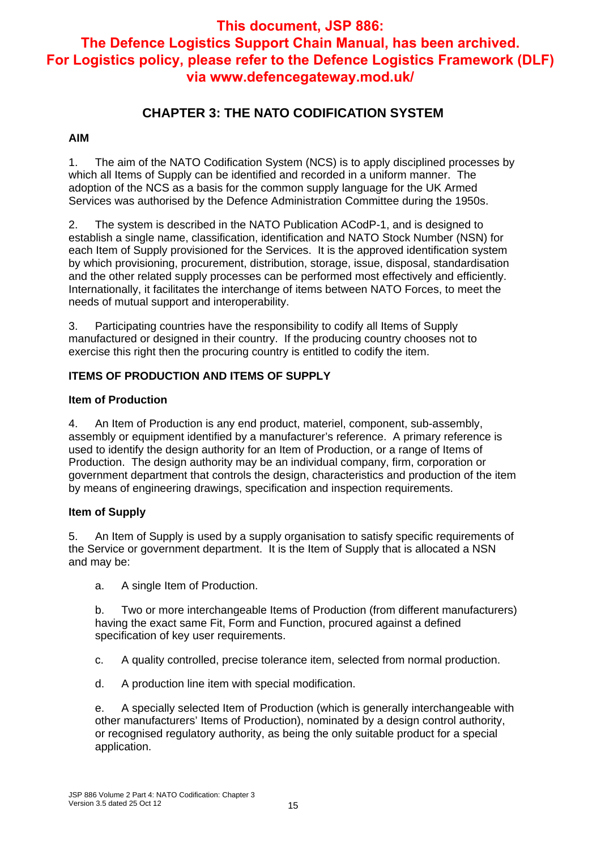### **CHAPTER 3: THE NATO CODIFICATION SYSTEM**

#### **AIM**

1. The aim of the NATO Codification System (NCS) is to apply disciplined processes by which all Items of Supply can be identified and recorded in a uniform manner. The adoption of the NCS as a basis for the common supply language for the UK Armed Services was authorised by the Defence Administration Committee during the 1950s.

2. The system is described in the NATO Publication ACodP-1, and is designed to establish a single name, classification, identification and NATO Stock Number (NSN) for each Item of Supply provisioned for the Services. It is the approved identification system by which provisioning, procurement, distribution, storage, issue, disposal, standardisation and the other related supply processes can be performed most effectively and efficiently. Internationally, it facilitates the interchange of items between NATO Forces, to meet the needs of mutual support and interoperability.

3. Participating countries have the responsibility to codify all Items of Supply manufactured or designed in their country. If the producing country chooses not to exercise this right then the procuring country is entitled to codify the item.

#### **ITEMS OF PRODUCTION AND ITEMS OF SUPPLY**

#### **Item of Production**

4. An Item of Production is any end product, materiel, component, sub-assembly, assembly or equipment identified by a manufacturer's reference. A primary reference is used to identify the design authority for an Item of Production, or a range of Items of Production. The design authority may be an individual company, firm, corporation or government department that controls the design, characteristics and production of the item by means of engineering drawings, specification and inspection requirements.

#### **Item of Supply**

5. An Item of Supply is used by a supply organisation to satisfy specific requirements of the Service or government department. It is the Item of Supply that is allocated a NSN and may be:

a. A single Item of Production.

b. Two or more interchangeable Items of Production (from different manufacturers) having the exact same Fit, Form and Function, procured against a defined specification of key user requirements.

- c. A quality controlled, precise tolerance item, selected from normal production.
- d. A production line item with special modification.

e. A specially selected Item of Production (which is generally interchangeable with other manufacturers' Items of Production), nominated by a design control authority, or recognised regulatory authority, as being the only suitable product for a special application.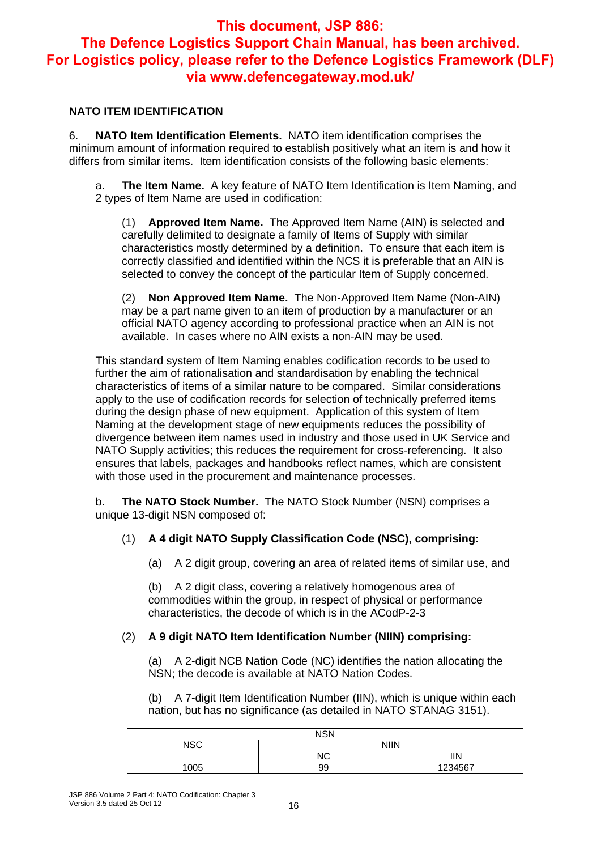#### **NATO ITEM IDENTIFICATION**

6. **NATO Item Identification Elements.** NATO item identification comprises the minimum amount of information required to establish positively what an item is and how it differs from similar items. Item identification consists of the following basic elements:

a. **The Item Name.** A key feature of NATO Item Identification is Item Naming, and 2 types of Item Name are used in codification:

(1) **Approved Item Name.** The Approved Item Name (AIN) is selected and carefully delimited to designate a family of Items of Supply with similar characteristics mostly determined by a definition. To ensure that each item is correctly classified and identified within the NCS it is preferable that an AIN is selected to convey the concept of the particular Item of Supply concerned.

(2) **Non Approved Item Name.** The Non-Approved Item Name (Non-AIN) may be a part name given to an item of production by a manufacturer or an official NATO agency according to professional practice when an AIN is not available. In cases where no AIN exists a non-AIN may be used.

This standard system of Item Naming enables codification records to be used to further the aim of rationalisation and standardisation by enabling the technical characteristics of items of a similar nature to be compared. Similar considerations apply to the use of codification records for selection of technically preferred items during the design phase of new equipment. Application of this system of Item Naming at the development stage of new equipments reduces the possibility of divergence between item names used in industry and those used in UK Service and NATO Supply activities; this reduces the requirement for cross-referencing. It also ensures that labels, packages and handbooks reflect names, which are consistent with those used in the procurement and maintenance processes.

b. **The NATO Stock Number.** The NATO Stock Number (NSN) comprises a unique 13-digit NSN composed of:

#### (1) **A 4 digit NATO Supply Classification Code (NSC), comprising:**

(a) A 2 digit group, covering an area of related items of similar use, and

(b) A 2 digit class, covering a relatively homogenous area of commodities within the group, in respect of physical or performance characteristics, the decode of which is in the ACodP-2-3

#### (2) **A 9 digit NATO Item Identification Number (NIIN) comprising:**

(a) A 2-digit NCB Nation Code (NC) identifies the nation allocating the NSN; the decode is available at NATO Nation Codes.

(b) A 7-digit Item Identification Number (IIN), which is unique within each nation, but has no significance (as detailed in NATO STANAG 3151).

| <b>NSN</b> |    |             |  |  |  |  |
|------------|----|-------------|--|--|--|--|
| NSC        |    | <b>NIIN</b> |  |  |  |  |
|            | NC | ΙIΝ         |  |  |  |  |
| 1005       | 99 | 1234567     |  |  |  |  |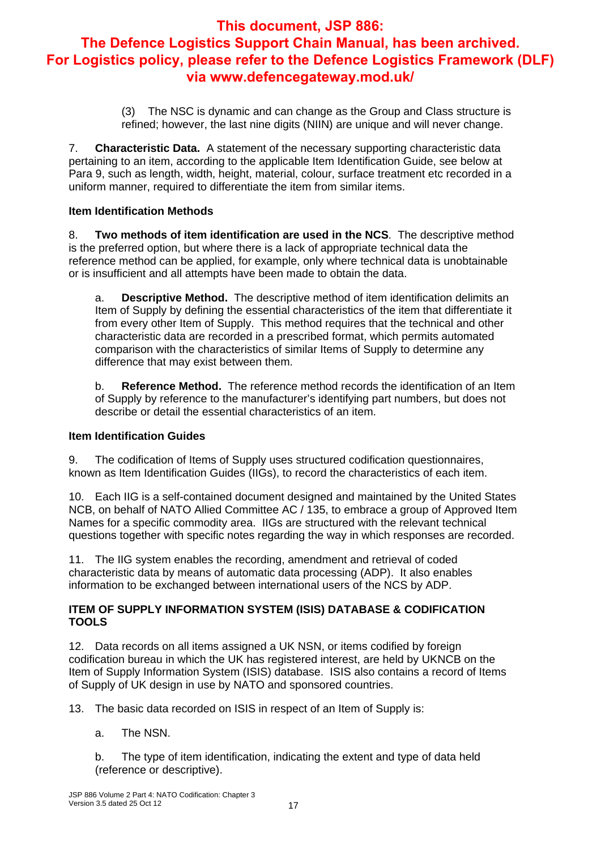(3) The NSC is dynamic and can change as the Group and Class structure is refined; however, the last nine digits (NIIN) are unique and will never change.

7. **Characteristic Data.** A statement of the necessary supporting characteristic data pertaining to an item, according to the applicable Item Identification Guide, see below at Para 9, such as length, width, height, material, colour, surface treatment etc recorded in a uniform manner, required to differentiate the item from similar items.

#### **Item Identification Methods**

8. **Two methods of item identification are used in the NCS**. The descriptive method is the preferred option, but where there is a lack of appropriate technical data the reference method can be applied, for example, only where technical data is unobtainable or is insufficient and all attempts have been made to obtain the data.

a. **Descriptive Method.** The descriptive method of item identification delimits an Item of Supply by defining the essential characteristics of the item that differentiate it from every other Item of Supply. This method requires that the technical and other characteristic data are recorded in a prescribed format, which permits automated comparison with the characteristics of similar Items of Supply to determine any difference that may exist between them.

b. **Reference Method.** The reference method records the identification of an Item of Supply by reference to the manufacturer's identifying part numbers, but does not describe or detail the essential characteristics of an item.

#### **Item Identification Guides**

9. The codification of Items of Supply uses structured codification questionnaires, known as Item Identification Guides (IIGs), to record the characteristics of each item.

10. Each IIG is a self-contained document designed and maintained by the United States NCB, on behalf of NATO Allied Committee AC / 135, to embrace a group of Approved Item Names for a specific commodity area. IIGs are structured with the relevant technical questions together with specific notes regarding the way in which responses are recorded.

11. The IIG system enables the recording, amendment and retrieval of coded characteristic data by means of automatic data processing (ADP). It also enables information to be exchanged between international users of the NCS by ADP.

#### **ITEM OF SUPPLY INFORMATION SYSTEM (ISIS) DATABASE & CODIFICATION TOOLS**

12. Data records on all items assigned a UK NSN, or items codified by foreign codification bureau in which the UK has registered interest, are held by UKNCB on the Item of Supply Information System (ISIS) database. ISIS also contains a record of Items of Supply of UK design in use by NATO and sponsored countries.

13. The basic data recorded on ISIS in respect of an Item of Supply is:

a. The NSN.

b. The type of item identification, indicating the extent and type of data held (reference or descriptive).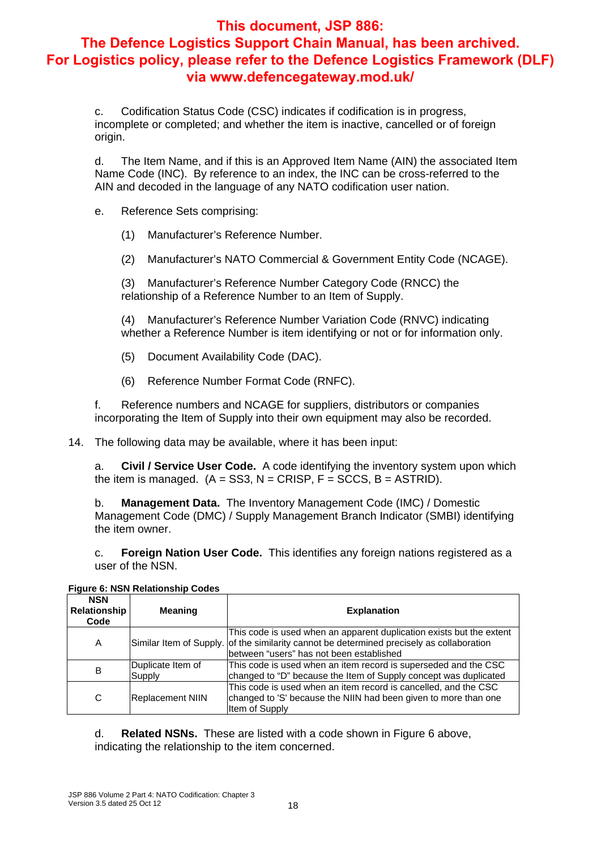c. Codification Status Code (CSC) indicates if codification is in progress, incomplete or completed; and whether the item is inactive, cancelled or of foreign origin.

d. The Item Name, and if this is an Approved Item Name (AIN) the associated Item Name Code (INC). By reference to an index, the INC can be cross-referred to the AIN and decoded in the language of any NATO codification user nation.

- e. Reference Sets comprising:
	- (1) Manufacturer's Reference Number.
	- (2) Manufacturer's NATO Commercial & Government Entity Code (NCAGE).

(3) Manufacturer's Reference Number Category Code (RNCC) the relationship of a Reference Number to an Item of Supply.

(4) Manufacturer's Reference Number Variation Code (RNVC) indicating whether a Reference Number is item identifying or not or for information only.

- (5) Document Availability Code (DAC).
- (6) Reference Number Format Code (RNFC).

f. Reference numbers and NCAGE for suppliers, distributors or companies incorporating the Item of Supply into their own equipment may also be recorded.

14. The following data may be available, where it has been input:

a. **Civil / Service User Code.** A code identifying the inventory system upon which the item is managed.  $(A = SSS, N = CRISP, F = SCCS, B = ASTRID)$ .

b. **Management Data.** The Inventory Management Code (IMC) / Domestic Management Code (DMC) / Supply Management Branch Indicator (SMBI) identifying the item owner.

c. **Foreign Nation User Code.** This identifies any foreign nations registered as a user of the NSN.

| <b>NSN</b><br><b>Relationship</b><br>Code | <b>Meaning</b>              | <b>Explanation</b>                                                                                                                                                                                            |
|-------------------------------------------|-----------------------------|---------------------------------------------------------------------------------------------------------------------------------------------------------------------------------------------------------------|
| A                                         |                             | This code is used when an apparent duplication exists but the extent<br>Similar Item of Supply. of the similarity cannot be determined precisely as collaboration<br>between "users" has not been established |
| B                                         | Duplicate Item of<br>Supply | This code is used when an item record is superseded and the CSC<br>changed to "D" because the Item of Supply concept was duplicated                                                                           |
| C                                         | <b>Replacement NIIN</b>     | This code is used when an item record is cancelled, and the CSC<br>changed to 'S' because the NIIN had been given to more than one<br>Item of Supply                                                          |

**Figure 6: NSN Relationship Codes** 

d. **Related NSNs.** These are listed with a code shown in Figure 6 above, indicating the relationship to the item concerned.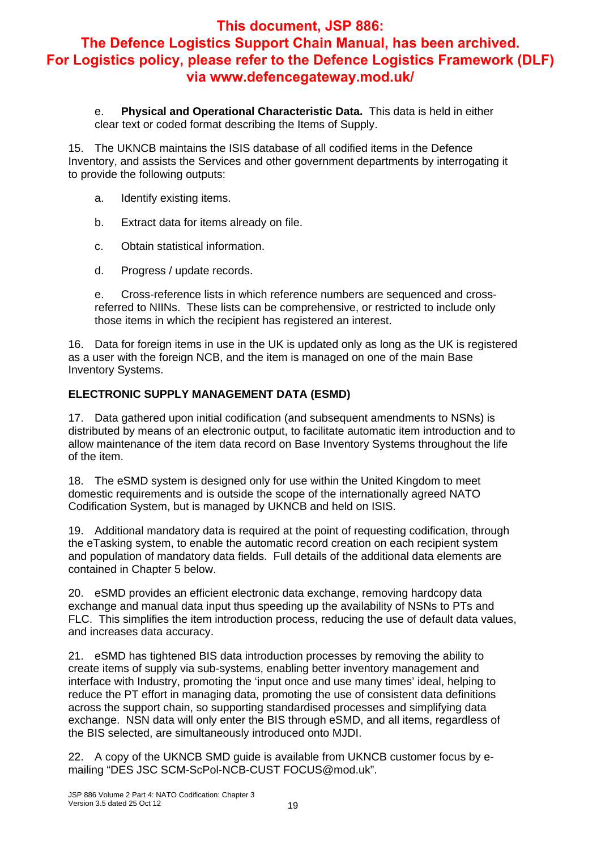e. **Physical and Operational Characteristic Data.** This data is held in either clear text or coded format describing the Items of Supply.

15. The UKNCB maintains the ISIS database of all codified items in the Defence Inventory, and assists the Services and other government departments by interrogating it to provide the following outputs:

- a. Identify existing items.
- b. Extract data for items already on file.
- c. Obtain statistical information.
- d. Progress / update records.

e. Cross-reference lists in which reference numbers are sequenced and crossreferred to NIINs. These lists can be comprehensive, or restricted to include only those items in which the recipient has registered an interest.

16. Data for foreign items in use in the UK is updated only as long as the UK is registered as a user with the foreign NCB, and the item is managed on one of the main Base Inventory Systems.

#### **ELECTRONIC SUPPLY MANAGEMENT DATA (ESMD)**

17. Data gathered upon initial codification (and subsequent amendments to NSNs) is distributed by means of an electronic output, to facilitate automatic item introduction and to allow maintenance of the item data record on Base Inventory Systems throughout the life of the item.

18. The eSMD system is designed only for use within the United Kingdom to meet domestic requirements and is outside the scope of the internationally agreed NATO Codification System, but is managed by UKNCB and held on ISIS.

19. Additional mandatory data is required at the point of requesting codification, through the eTasking system, to enable the automatic record creation on each recipient system and population of mandatory data fields. Full details of the additional data elements are contained in Chapter 5 below.

20. eSMD provides an efficient electronic data exchange, removing hardcopy data exchange and manual data input thus speeding up the availability of NSNs to PTs and FLC. This simplifies the item introduction process, reducing the use of default data values, and increases data accuracy.

21. eSMD has tightened BIS data introduction processes by removing the ability to create items of supply via sub-systems, enabling better inventory management and interface with Industry, promoting the 'input once and use many times' ideal, helping to reduce the PT effort in managing data, promoting the use of consistent data definitions across the support chain, so supporting standardised processes and simplifying data exchange. NSN data will only enter the BIS through eSMD, and all items, regardless of the BIS selected, are simultaneously introduced onto MJDI.

22. A copy of the UKNCB SMD guide is available from UKNCB customer focus by emailing "DES JSC SCM-ScPol-NCB-CUST FOCUS@mod.uk".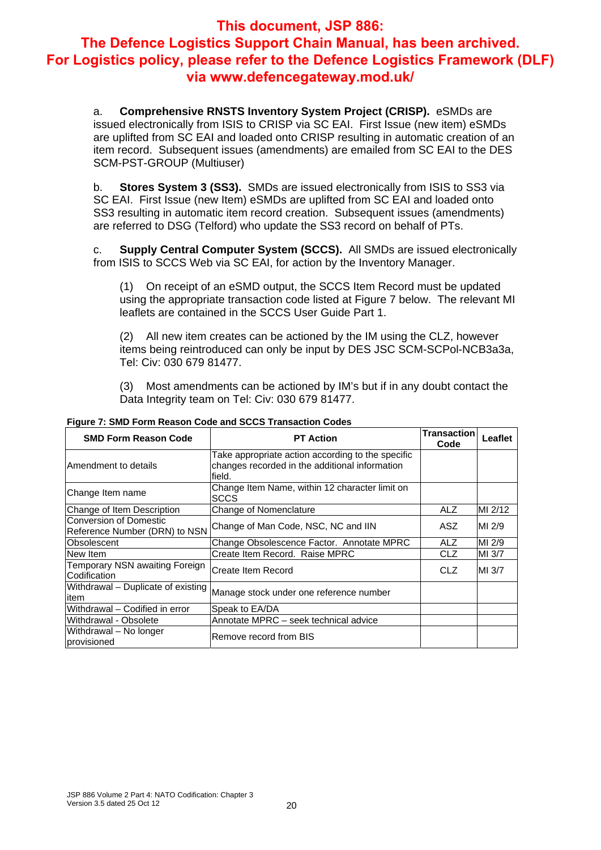a. **Comprehensive RNSTS Inventory System Project (CRISP).** eSMDs are issued electronically from ISIS to CRISP via SC EAI. First Issue (new item) eSMDs are uplifted from SC EAI and loaded onto CRISP resulting in automatic creation of an item record. Subsequent issues (amendments) are emailed from SC EAI to the DES SCM-PST-GROUP (Multiuser)

b. **Stores System 3 (SS3).** SMDs are issued electronically from ISIS to SS3 via SC EAI. First Issue (new Item) eSMDs are uplifted from SC EAI and loaded onto SS3 resulting in automatic item record creation. Subsequent issues (amendments) are referred to DSG (Telford) who update the SS3 record on behalf of PTs.

c. **Supply Central Computer System (SCCS).** All SMDs are issued electronically from ISIS to SCCS Web via SC EAI, for action by the Inventory Manager.

(1) On receipt of an eSMD output, the SCCS Item Record must be updated using the appropriate transaction code listed at Figure 7 below. The relevant MI leaflets are contained in the SCCS User Guide Part 1.

(2) All new item creates can be actioned by the IM using the CLZ, however items being reintroduced can only be input by DES JSC SCM-SCPol-NCB3a3a, Tel: Civ: 030 679 81477.

(3) Most amendments can be actioned by IM's but if in any doubt contact the Data Integrity team on Tel: Civ: 030 679 81477.

| <b>SMD Form Reason Code</b>                                    | <b>PT Action</b>                                                                                               | <b>Transaction</b><br>Code | Leaflet |
|----------------------------------------------------------------|----------------------------------------------------------------------------------------------------------------|----------------------------|---------|
| Amendment to details                                           | Take appropriate action according to the specific<br>changes recorded in the additional information<br>lfield. |                            |         |
| Change Item name                                               | Change Item Name, within 12 character limit on<br><b>SCCS</b>                                                  |                            |         |
| Change of Item Description                                     | Change of Nomenclature                                                                                         | ALZ                        | MI 2/12 |
| <b>Conversion of Domestic</b><br>Reference Number (DRN) to NSN | Change of Man Code, NSC, NC and IIN                                                                            | ASZ.                       | MI 2/9  |
| Obsolescent                                                    | Change Obsolescence Factor. Annotate MPRC                                                                      | ALZ.                       | MI 2/9  |
| New Item                                                       | Create Item Record. Raise MPRC                                                                                 | CLZ                        | MI 3/7  |
| Temporary NSN awaiting Foreign<br>Codification                 | Create Item Record                                                                                             | CLZ                        | MI 3/7  |
| Withdrawal - Duplicate of existing<br>litem                    | Manage stock under one reference number                                                                        |                            |         |
| Withdrawal - Codified in error                                 | Speak to EA/DA                                                                                                 |                            |         |
| Withdrawal - Obsolete                                          | Annotate MPRC - seek technical advice                                                                          |                            |         |
| Withdrawal - No longer<br>provisioned                          | Remove record from BIS                                                                                         |                            |         |

#### **Figure 7: SMD Form Reason Code and SCCS Transaction Codes**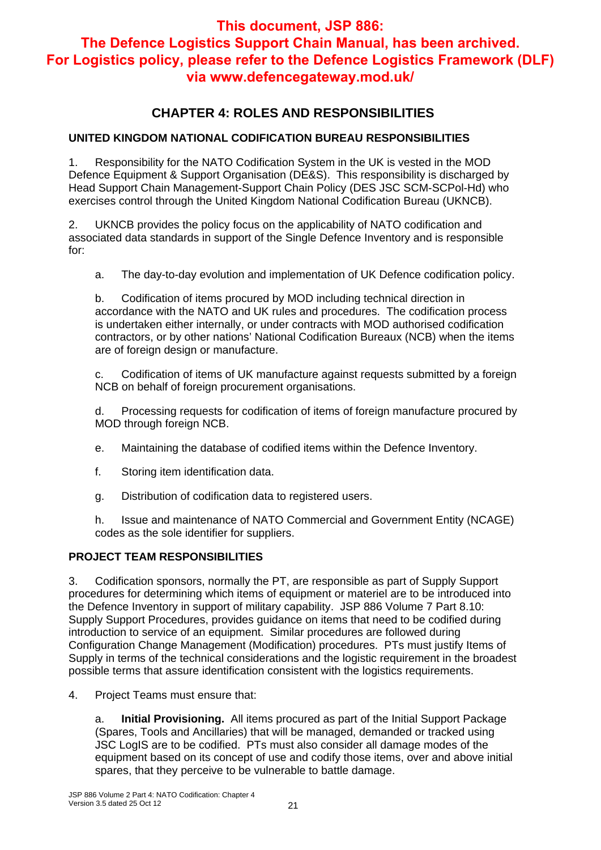## **CHAPTER 4: ROLES AND RESPONSIBILITIES**

#### **UNITED KINGDOM NATIONAL CODIFICATION BUREAU RESPONSIBILITIES**

1. Responsibility for the NATO Codification System in the UK is vested in the MOD Defence Equipment & Support Organisation (DE&S). This responsibility is discharged by Head Support Chain Management-Support Chain Policy (DES JSC SCM-SCPol-Hd) who exercises control through the United Kingdom National Codification Bureau (UKNCB).

2. UKNCB provides the policy focus on the applicability of NATO codification and associated data standards in support of the Single Defence Inventory and is responsible for:

a. The day-to-day evolution and implementation of UK Defence codification policy.

b. Codification of items procured by MOD including technical direction in accordance with the NATO and UK rules and procedures. The codification process is undertaken either internally, or under contracts with MOD authorised codification contractors, or by other nations' National Codification Bureaux (NCB) when the items are of foreign design or manufacture.

c. Codification of items of UK manufacture against requests submitted by a foreign NCB on behalf of foreign procurement organisations.

d. Processing requests for codification of items of foreign manufacture procured by MOD through foreign NCB.

- e. Maintaining the database of codified items within the Defence Inventory.
- f. Storing item identification data.
- g. Distribution of codification data to registered users.

h. Issue and maintenance of NATO Commercial and Government Entity (NCAGE) codes as the sole identifier for suppliers.

#### **PROJECT TEAM RESPONSIBILITIES**

3. Codification sponsors, normally the PT, are responsible as part of Supply Support procedures for determining which items of equipment or materiel are to be introduced into the Defence Inventory in support of military capability. JSP 886 Volume 7 Part 8.10: Supply Support Procedures, provides guidance on items that need to be codified during introduction to service of an equipment. Similar procedures are followed during Configuration Change Management (Modification) procedures. PTs must justify Items of Supply in terms of the technical considerations and the logistic requirement in the broadest possible terms that assure identification consistent with the logistics requirements.

4. Project Teams must ensure that:

a. **Initial Provisioning.** All items procured as part of the Initial Support Package (Spares, Tools and Ancillaries) that will be managed, demanded or tracked using JSC LogIS are to be codified. PTs must also consider all damage modes of the equipment based on its concept of use and codify those items, over and above initial spares, that they perceive to be vulnerable to battle damage.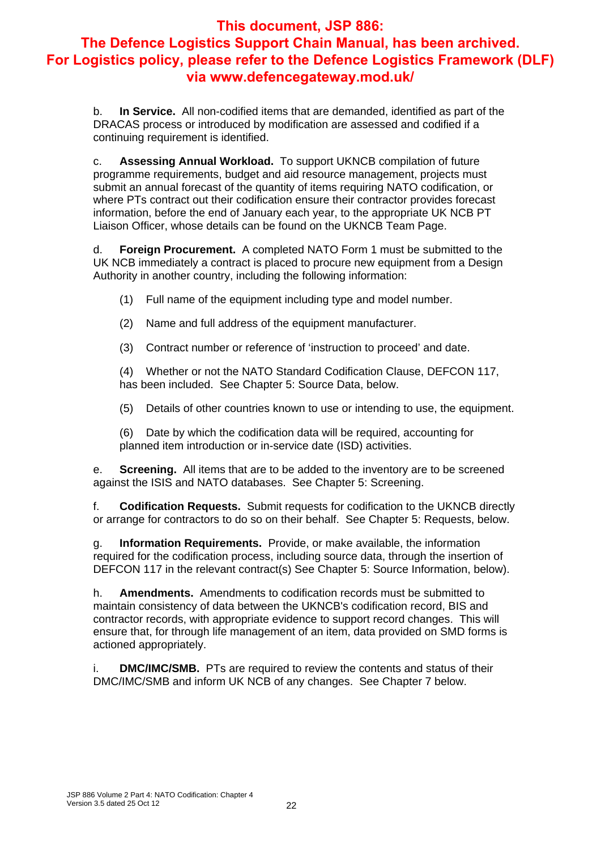b. **In Service.** All non-codified items that are demanded, identified as part of the DRACAS process or introduced by modification are assessed and codified if a continuing requirement is identified.

c. **Assessing Annual Workload.** To support UKNCB compilation of future programme requirements, budget and aid resource management, projects must submit an annual forecast of the quantity of items requiring NATO codification, or where PTs contract out their codification ensure their contractor provides forecast information, before the end of January each year, to the appropriate UK NCB PT Liaison Officer, whose details can be found on the UKNCB Team Page.

d. **Foreign Procurement.** A completed NATO Form 1 must be submitted to the UK NCB immediately a contract is placed to procure new equipment from a Design Authority in another country, including the following information:

- (1) Full name of the equipment including type and model number.
- (2) Name and full address of the equipment manufacturer.
- (3) Contract number or reference of 'instruction to proceed' and date.

(4) Whether or not the NATO Standard Codification Clause, DEFCON 117, has been included. See Chapter 5: Source Data, below.

(5) Details of other countries known to use or intending to use, the equipment.

(6) Date by which the codification data will be required, accounting for planned item introduction or in-service date (ISD) activities.

e. **Screening.** All items that are to be added to the inventory are to be screened against the ISIS and NATO databases. See Chapter 5: Screening.

f. **Codification Requests.** Submit requests for codification to the UKNCB directly or arrange for contractors to do so on their behalf. See Chapter 5: Requests, below.

g. **Information Requirements.** Provide, or make available, the information required for the codification process, including source data, through the insertion of DEFCON 117 in the relevant contract(s) See Chapter 5: Source Information, below).

h. **Amendments.** Amendments to codification records must be submitted to maintain consistency of data between the UKNCB's codification record, BIS and contractor records, with appropriate evidence to support record changes. This will ensure that, for through life management of an item, data provided on SMD forms is actioned appropriately.

i. **DMC/IMC/SMB.** PTs are required to review the contents and status of their DMC/IMC/SMB and inform UK NCB of any changes. See Chapter 7 below.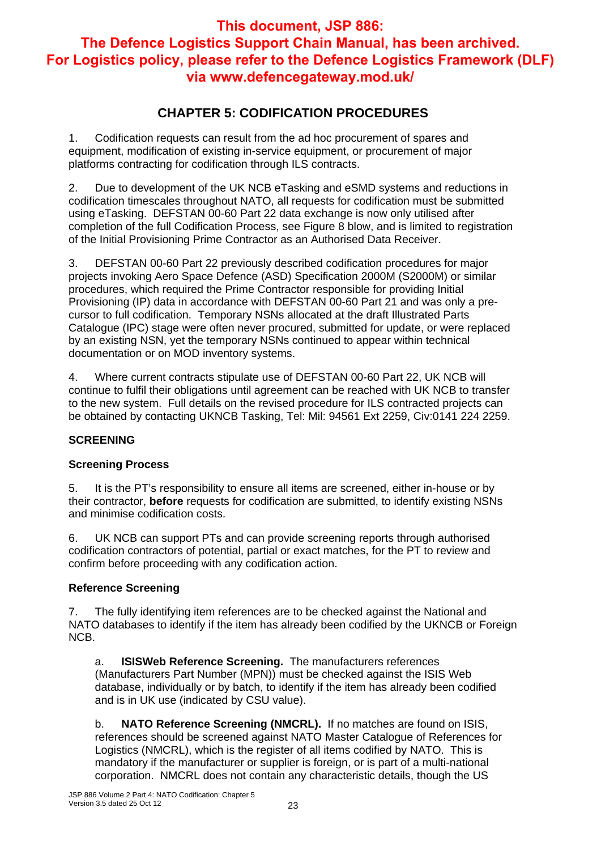## **CHAPTER 5: CODIFICATION PROCEDURES**

1. Codification requests can result from the ad hoc procurement of spares and equipment, modification of existing in-service equipment, or procurement of major platforms contracting for codification through ILS contracts.

2. Due to development of the UK NCB eTasking and eSMD systems and reductions in codification timescales throughout NATO, all requests for codification must be submitted using eTasking. DEFSTAN 00-60 Part 22 data exchange is now only utilised after completion of the full Codification Process, see Figure 8 blow, and is limited to registration of the Initial Provisioning Prime Contractor as an Authorised Data Receiver.

3. DEFSTAN 00-60 Part 22 previously described codification procedures for major projects invoking Aero Space Defence (ASD) Specification 2000M (S2000M) or similar procedures, which required the Prime Contractor responsible for providing Initial Provisioning (IP) data in accordance with DEFSTAN 00-60 Part 21 and was only a precursor to full codification. Temporary NSNs allocated at the draft Illustrated Parts Catalogue (IPC) stage were often never procured, submitted for update, or were replaced by an existing NSN, yet the temporary NSNs continued to appear within technical documentation or on MOD inventory systems.

4. Where current contracts stipulate use of DEFSTAN 00-60 Part 22, UK NCB will continue to fulfil their obligations until agreement can be reached with UK NCB to transfer to the new system. Full details on the revised procedure for ILS contracted projects can be obtained by contacting UKNCB Tasking, Tel: Mil: 94561 Ext 2259, Civ:0141 224 2259.

#### **SCREENING**

#### **Screening Process**

5. It is the PT's responsibility to ensure all items are screened, either in-house or by their contractor, **before** requests for codification are submitted, to identify existing NSNs and minimise codification costs.

6. UK NCB can support PTs and can provide screening reports through authorised codification contractors of potential, partial or exact matches, for the PT to review and confirm before proceeding with any codification action.

#### **Reference Screening**

The fully identifying item references are to be checked against the National and NATO databases to identify if the item has already been codified by the UKNCB or Foreign NCB.

a. **ISISWeb Reference Screening.** The manufacturers references (Manufacturers Part Number (MPN)) must be checked against the ISIS Web database, individually or by batch, to identify if the item has already been codified and is in UK use (indicated by CSU value).

b. **NATO Reference Screening (NMCRL).** If no matches are found on ISIS, references should be screened against NATO Master Catalogue of References for Logistics (NMCRL), which is the register of all items codified by NATO. This is mandatory if the manufacturer or supplier is foreign, or is part of a multi-national corporation. NMCRL does not contain any characteristic details, though the US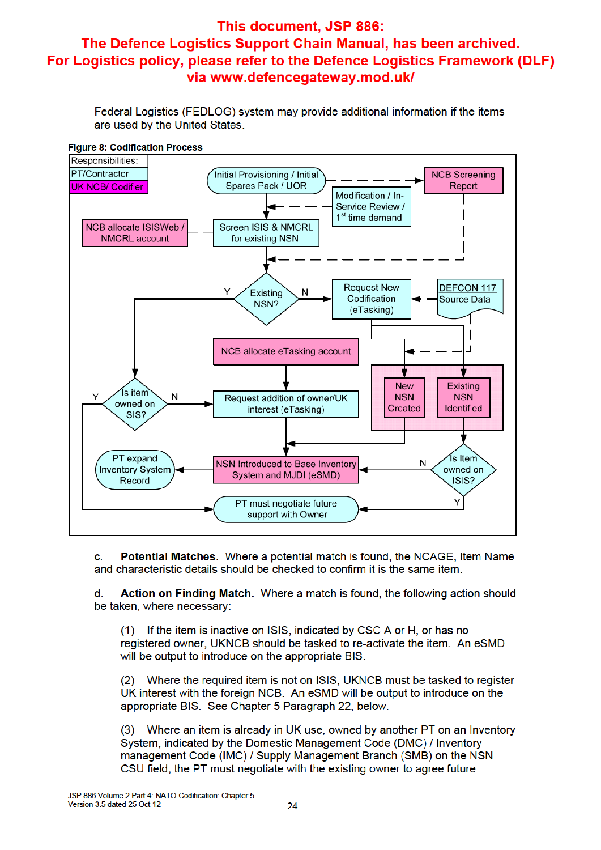Federal Logistics (FEDLOG) system may provide additional information if the items are used by the United States.





c. Potential Matches. Where a potential match is found, the NCAGE, Item Name and characteristic details should be checked to confirm it is the same item.

Action on Finding Match. Where a match is found, the following action should d be taken, where necessary:

(1) If the item is inactive on ISIS, indicated by CSC A or H, or has no registered owner, UKNCB should be tasked to re-activate the item. An eSMD will be output to introduce on the appropriate BIS.

(2) Where the required item is not on ISIS, UKNCB must be tasked to register UK interest with the foreign NCB. An eSMD will be output to introduce on the appropriate BIS. See Chapter 5 Paragraph 22, below.

(3) Where an item is already in UK use, owned by another PT on an Inventory System, indicated by the Domestic Management Code (DMC) / Inventory management Code (IMC) / Supply Management Branch (SMB) on the NSN CSU field, the PT must negotiate with the existing owner to agree future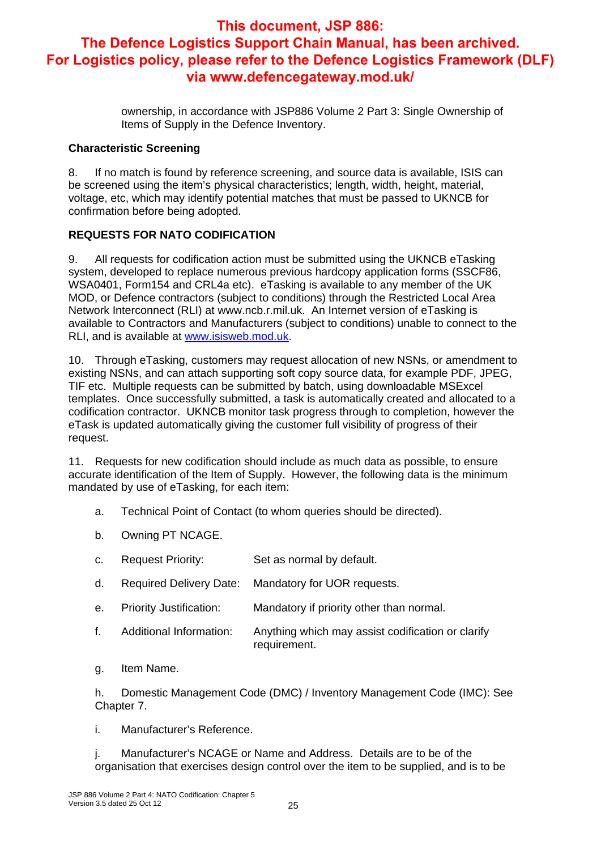ownership, in accordance with JSP886 Volume 2 Part 3: Single Ownership of Items of Supply in the Defence Inventory.

#### **Characteristic Screening**

8. If no match is found by reference screening, and source data is available, ISIS can be screened using the item's physical characteristics; length, width, height, material, voltage, etc, which may identify potential matches that must be passed to UKNCB for confirmation before being adopted.

#### **REQUESTS FOR NATO CODIFICATION**

9. All requests for codification action must be submitted using the UKNCB eTasking system, developed to replace numerous previous hardcopy application forms (SSCF86, WSA0401, Form154 and CRL4a etc). eTasking is available to any member of the UK MOD, or Defence contractors (subject to conditions) through the Restricted Local Area Network Interconnect (RLI) at www.ncb.r.mil.uk. An Internet version of eTasking is available to Contractors and Manufacturers (subject to conditions) unable to connect to the RLI, and is available at www.isisweb.mod.uk.

10. Through eTasking, customers may request allocation of new NSNs, or amendment to existing NSNs, and can attach supporting soft copy source data, for example PDF, JPEG, TIF etc. Multiple requests can be submitted by batch, using downloadable MSExcel templates. Once successfully submitted, a task is automatically created and allocated to a codification contractor. UKNCB monitor task progress through to completion, however the eTask is updated automatically giving the customer full visibility of progress of their request.

11. Requests for new codification should include as much data as possible, to ensure accurate identification of the Item of Supply. However, the following data is the minimum mandated by use of eTasking, for each item:

- a. Technical Point of Contact (to whom queries should be directed).
- b. Owning PT NCAGE.
- c. Request Priority: Set as normal by default.
- d. Required Delivery Date: Mandatory for UOR requests.
- e. Priority Justification: Mandatory if priority other than normal.
- f. Additional Information: Anything which may assist codification or clarify requirement.
- g. Item Name.

h. Domestic Management Code (DMC) / Inventory Management Code (IMC): See Chapter 7.

i. Manufacturer's Reference.

j. Manufacturer's NCAGE or Name and Address. Details are to be of the organisation that exercises design control over the item to be supplied, and is to be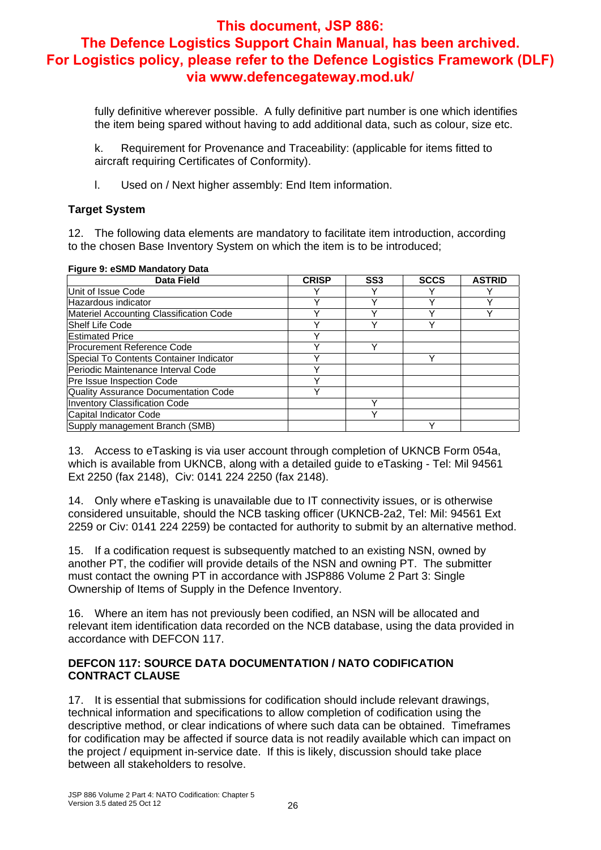fully definitive wherever possible. A fully definitive part number is one which identifies the item being spared without having to add additional data, such as colour, size etc.

k. Requirement for Provenance and Traceability: (applicable for items fitted to aircraft requiring Certificates of Conformity).

l. Used on / Next higher assembly: End Item information.

#### **Target System**

12. The following data elements are mandatory to facilitate item introduction, according to the chosen Base Inventory System on which the item is to be introduced;

| <b>Data Field</b>                           | <b>CRISP</b> | SS <sub>3</sub> | <b>SCCS</b> | <b>ASTRID</b> |
|---------------------------------------------|--------------|-----------------|-------------|---------------|
| Unit of Issue Code                          |              |                 |             |               |
| Hazardous indicator                         |              |                 |             |               |
| Materiel Accounting Classification Code     |              |                 |             |               |
| <b>IShelf Life Code</b>                     |              |                 |             |               |
| <b>IEstimated Price</b>                     |              |                 |             |               |
| <b>Procurement Reference Code</b>           |              |                 |             |               |
| Special To Contents Container Indicator     |              |                 |             |               |
| Periodic Maintenance Interval Code          |              |                 |             |               |
| Pre Issue Inspection Code                   |              |                 |             |               |
| <b>Quality Assurance Documentation Code</b> |              |                 |             |               |
| <b>Inventory Classification Code</b>        |              |                 |             |               |
| Capital Indicator Code                      |              |                 |             |               |
| Supply management Branch (SMB)              |              |                 |             |               |

#### **Figure 9: eSMD Mandatory Data**

13. Access to eTasking is via user account through completion of UKNCB Form 054a, which is available from UKNCB, along with a detailed guide to eTasking - Tel: Mil 94561 Ext 2250 (fax 2148), Civ: 0141 224 2250 (fax 2148).

14. Only where eTasking is unavailable due to IT connectivity issues, or is otherwise considered unsuitable, should the NCB tasking officer (UKNCB-2a2, Tel: Mil: 94561 Ext 2259 or Civ: 0141 224 2259) be contacted for authority to submit by an alternative method.

15. If a codification request is subsequently matched to an existing NSN, owned by another PT, the codifier will provide details of the NSN and owning PT. The submitter must contact the owning PT in accordance with JSP886 Volume 2 Part 3: Single Ownership of Items of Supply in the Defence Inventory.

16. Where an item has not previously been codified, an NSN will be allocated and relevant item identification data recorded on the NCB database, using the data provided in accordance with DEFCON 117.

#### **DEFCON 117: SOURCE DATA DOCUMENTATION / NATO CODIFICATION CONTRACT CLAUSE**

17. It is essential that submissions for codification should include relevant drawings, technical information and specifications to allow completion of codification using the descriptive method, or clear indications of where such data can be obtained. Timeframes for codification may be affected if source data is not readily available which can impact on the project / equipment in-service date. If this is likely, discussion should take place between all stakeholders to resolve.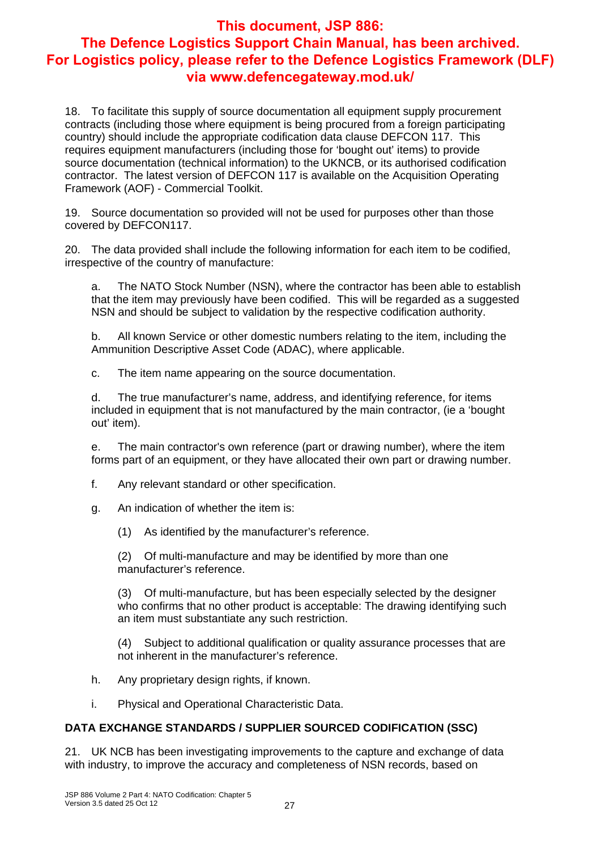18. To facilitate this supply of source documentation all equipment supply procurement contracts (including those where equipment is being procured from a foreign participating country) should include the appropriate codification data clause DEFCON 117. This requires equipment manufacturers (including those for 'bought out' items) to provide source documentation (technical information) to the UKNCB, or its authorised codification contractor. The latest version of DEFCON 117 is available on the Acquisition Operating Framework (AOF) - Commercial Toolkit.

19. Source documentation so provided will not be used for purposes other than those covered by DEFCON117.

20. The data provided shall include the following information for each item to be codified, irrespective of the country of manufacture:

a. The NATO Stock Number (NSN), where the contractor has been able to establish that the item may previously have been codified. This will be regarded as a suggested NSN and should be subject to validation by the respective codification authority.

b. All known Service or other domestic numbers relating to the item, including the Ammunition Descriptive Asset Code (ADAC), where applicable.

c. The item name appearing on the source documentation.

d. The true manufacturer's name, address, and identifying reference, for items included in equipment that is not manufactured by the main contractor, (ie a 'bought out' item).

e. The main contractor's own reference (part or drawing number), where the item forms part of an equipment, or they have allocated their own part or drawing number.

- f. Any relevant standard or other specification.
- g. An indication of whether the item is:
	- (1) As identified by the manufacturer's reference.

(2) Of multi-manufacture and may be identified by more than one manufacturer's reference.

(3) Of multi-manufacture, but has been especially selected by the designer who confirms that no other product is acceptable: The drawing identifying such an item must substantiate any such restriction.

(4) Subject to additional qualification or quality assurance processes that are not inherent in the manufacturer's reference.

- h. Any proprietary design rights, if known.
- i. Physical and Operational Characteristic Data.

#### **DATA EXCHANGE STANDARDS / SUPPLIER SOURCED CODIFICATION (SSC)**

21. UK NCB has been investigating improvements to the capture and exchange of data with industry, to improve the accuracy and completeness of NSN records, based on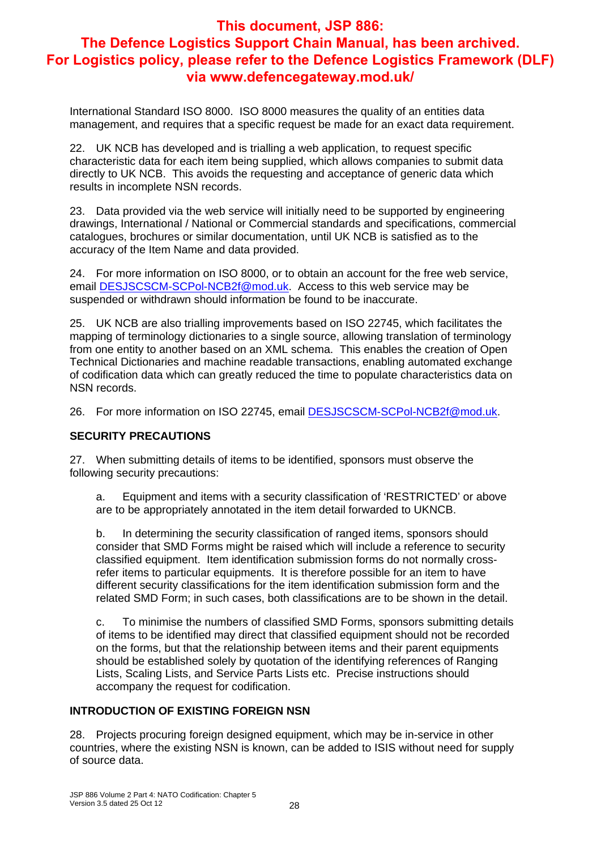International Standard ISO 8000. ISO 8000 measures the quality of an entities data management, and requires that a specific request be made for an exact data requirement.

22. UK NCB has developed and is trialling a web application, to request specific characteristic data for each item being supplied, which allows companies to submit data directly to UK NCB. This avoids the requesting and acceptance of generic data which results in incomplete NSN records.

23. Data provided via the web service will initially need to be supported by engineering drawings, International / National or Commercial standards and specifications, commercial catalogues, brochures or similar documentation, until UK NCB is satisfied as to the accuracy of the Item Name and data provided.

24. For more information on ISO 8000, or to obtain an account for the free web service, email **DESJSCSCM-SCPol-NCB2f@mod.uk.** Access to this web service may be suspended or withdrawn should information be found to be inaccurate.

25. UK NCB are also trialling improvements based on ISO 22745, which facilitates the mapping of terminology dictionaries to a single source, allowing translation of terminology from one entity to another based on an XML schema. This enables the creation of Open Technical Dictionaries and machine readable transactions, enabling automated exchange of codification data which can greatly reduced the time to populate characteristics data on NSN records.

26. For more information on ISO 22745, email **DESJSCSCM-SCPol-NCB2f@mod.uk.** 

#### **SECURITY PRECAUTIONS**

27. When submitting details of items to be identified, sponsors must observe the following security precautions:

a. Equipment and items with a security classification of 'RESTRICTED' or above are to be appropriately annotated in the item detail forwarded to UKNCB.

b. In determining the security classification of ranged items, sponsors should consider that SMD Forms might be raised which will include a reference to security classified equipment. Item identification submission forms do not normally crossrefer items to particular equipments. It is therefore possible for an item to have different security classifications for the item identification submission form and the related SMD Form; in such cases, both classifications are to be shown in the detail.

c. To minimise the numbers of classified SMD Forms, sponsors submitting details of items to be identified may direct that classified equipment should not be recorded on the forms, but that the relationship between items and their parent equipments should be established solely by quotation of the identifying references of Ranging Lists, Scaling Lists, and Service Parts Lists etc. Precise instructions should accompany the request for codification.

#### **INTRODUCTION OF EXISTING FOREIGN NSN**

28. Projects procuring foreign designed equipment, which may be in-service in other countries, where the existing NSN is known, can be added to ISIS without need for supply of source data.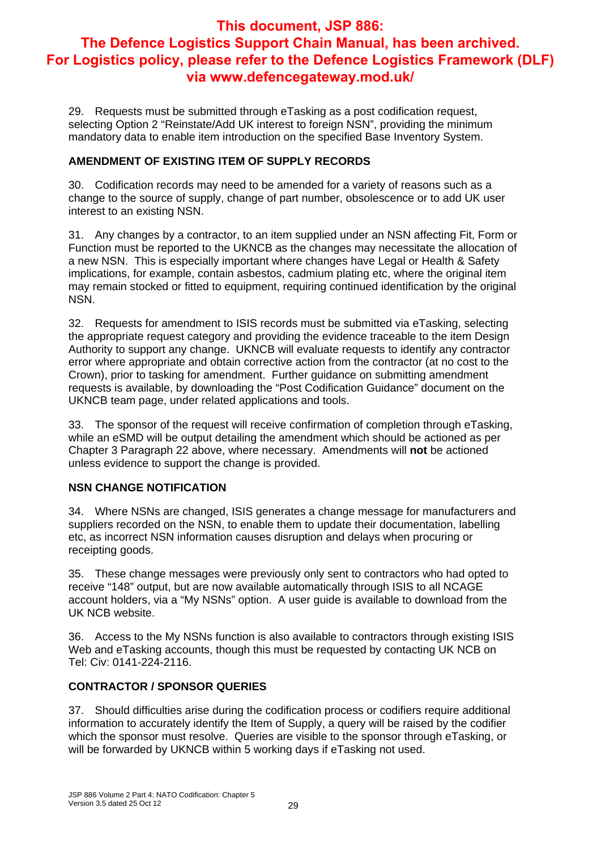29. Requests must be submitted through eTasking as a post codification request, selecting Option 2 "Reinstate/Add UK interest to foreign NSN", providing the minimum mandatory data to enable item introduction on the specified Base Inventory System.

#### **AMENDMENT OF EXISTING ITEM OF SUPPLY RECORDS**

30. Codification records may need to be amended for a variety of reasons such as a change to the source of supply, change of part number, obsolescence or to add UK user interest to an existing NSN.

31. Any changes by a contractor, to an item supplied under an NSN affecting Fit, Form or Function must be reported to the UKNCB as the changes may necessitate the allocation of a new NSN. This is especially important where changes have Legal or Health & Safety implications, for example, contain asbestos, cadmium plating etc, where the original item may remain stocked or fitted to equipment, requiring continued identification by the original NSN.

32. Requests for amendment to ISIS records must be submitted via eTasking, selecting the appropriate request category and providing the evidence traceable to the item Design Authority to support any change. UKNCB will evaluate requests to identify any contractor error where appropriate and obtain corrective action from the contractor (at no cost to the Crown), prior to tasking for amendment. Further guidance on submitting amendment requests is available, by downloading the "Post Codification Guidance" document on the UKNCB team page, under related applications and tools.

33. The sponsor of the request will receive confirmation of completion through eTasking, while an eSMD will be output detailing the amendment which should be actioned as per Chapter 3 Paragraph 22 above, where necessary. Amendments will **not** be actioned unless evidence to support the change is provided.

#### **NSN CHANGE NOTIFICATION**

34. Where NSNs are changed, ISIS generates a change message for manufacturers and suppliers recorded on the NSN, to enable them to update their documentation, labelling etc, as incorrect NSN information causes disruption and delays when procuring or receipting goods.

35. These change messages were previously only sent to contractors who had opted to receive "148" output, but are now available automatically through ISIS to all NCAGE account holders, via a "My NSNs" option. A user guide is available to download from the UK NCB website.

36. Access to the My NSNs function is also available to contractors through existing ISIS Web and eTasking accounts, though this must be requested by contacting UK NCB on Tel: Civ: 0141-224-2116.

#### **CONTRACTOR / SPONSOR QUERIES**

37. Should difficulties arise during the codification process or codifiers require additional information to accurately identify the Item of Supply, a query will be raised by the codifier which the sponsor must resolve. Queries are visible to the sponsor through eTasking, or will be forwarded by UKNCB within 5 working days if eTasking not used.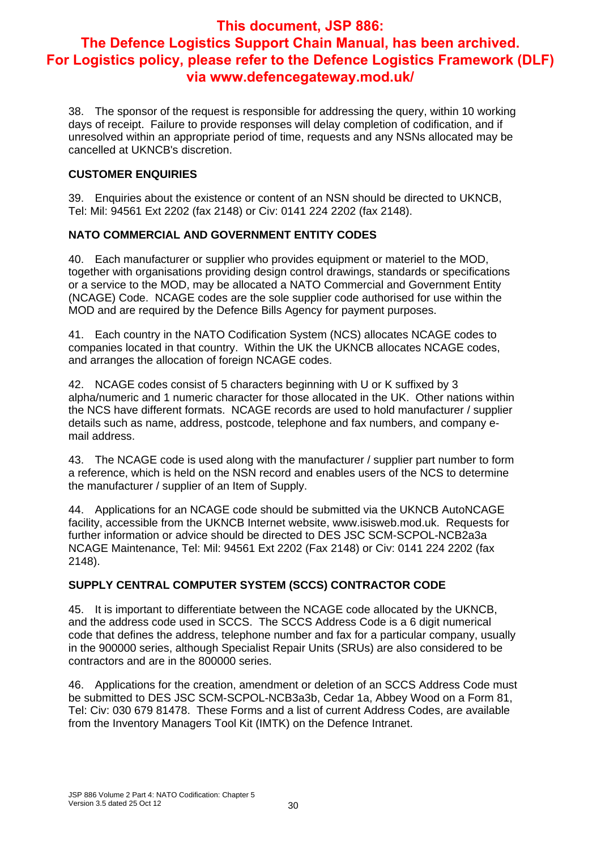38. The sponsor of the request is responsible for addressing the query, within 10 working days of receipt. Failure to provide responses will delay completion of codification, and if unresolved within an appropriate period of time, requests and any NSNs allocated may be cancelled at UKNCB's discretion.

#### **CUSTOMER ENQUIRIES**

39. Enquiries about the existence or content of an NSN should be directed to UKNCB, Tel: Mil: 94561 Ext 2202 (fax 2148) or Civ: 0141 224 2202 (fax 2148).

#### **NATO COMMERCIAL AND GOVERNMENT ENTITY CODES**

40. Each manufacturer or supplier who provides equipment or materiel to the MOD, together with organisations providing design control drawings, standards or specifications or a service to the MOD, may be allocated a NATO Commercial and Government Entity (NCAGE) Code. NCAGE codes are the sole supplier code authorised for use within the MOD and are required by the Defence Bills Agency for payment purposes.

41. Each country in the NATO Codification System (NCS) allocates NCAGE codes to companies located in that country. Within the UK the UKNCB allocates NCAGE codes, and arranges the allocation of foreign NCAGE codes.

42. NCAGE codes consist of 5 characters beginning with U or K suffixed by 3 alpha/numeric and 1 numeric character for those allocated in the UK. Other nations within the NCS have different formats. NCAGE records are used to hold manufacturer / supplier details such as name, address, postcode, telephone and fax numbers, and company email address.

43. The NCAGE code is used along with the manufacturer / supplier part number to form a reference, which is held on the NSN record and enables users of the NCS to determine the manufacturer / supplier of an Item of Supply.

44. Applications for an NCAGE code should be submitted via the UKNCB AutoNCAGE facility, accessible from the UKNCB Internet website, www.isisweb.mod.uk. Requests for further information or advice should be directed to DES JSC SCM-SCPOL-NCB2a3a NCAGE Maintenance, Tel: Mil: 94561 Ext 2202 (Fax 2148) or Civ: 0141 224 2202 (fax 2148).

#### **SUPPLY CENTRAL COMPUTER SYSTEM (SCCS) CONTRACTOR CODE**

45. It is important to differentiate between the NCAGE code allocated by the UKNCB, and the address code used in SCCS. The SCCS Address Code is a 6 digit numerical code that defines the address, telephone number and fax for a particular company, usually in the 900000 series, although Specialist Repair Units (SRUs) are also considered to be contractors and are in the 800000 series.

46. Applications for the creation, amendment or deletion of an SCCS Address Code must be submitted to DES JSC SCM-SCPOL-NCB3a3b, Cedar 1a, Abbey Wood on a Form 81, Tel: Civ: 030 679 81478. These Forms and a list of current Address Codes, are available from the Inventory Managers Tool Kit (IMTK) on the Defence Intranet.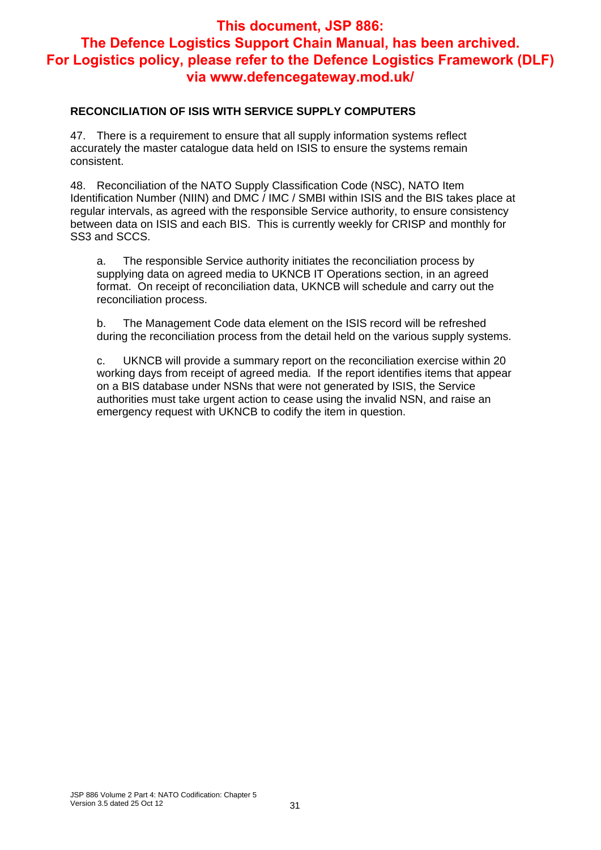#### **RECONCILIATION OF ISIS WITH SERVICE SUPPLY COMPUTERS**

47. There is a requirement to ensure that all supply information systems reflect accurately the master catalogue data held on ISIS to ensure the systems remain consistent.

48. Reconciliation of the NATO Supply Classification Code (NSC), NATO Item Identification Number (NIIN) and DMC / IMC / SMBI within ISIS and the BIS takes place at regular intervals, as agreed with the responsible Service authority, to ensure consistency between data on ISIS and each BIS. This is currently weekly for CRISP and monthly for SS3 and SCCS.

a. The responsible Service authority initiates the reconciliation process by supplying data on agreed media to UKNCB IT Operations section, in an agreed format. On receipt of reconciliation data, UKNCB will schedule and carry out the reconciliation process.

b. The Management Code data element on the ISIS record will be refreshed during the reconciliation process from the detail held on the various supply systems.

c. UKNCB will provide a summary report on the reconciliation exercise within 20 working days from receipt of agreed media. If the report identifies items that appear on a BIS database under NSNs that were not generated by ISIS, the Service authorities must take urgent action to cease using the invalid NSN, and raise an emergency request with UKNCB to codify the item in question.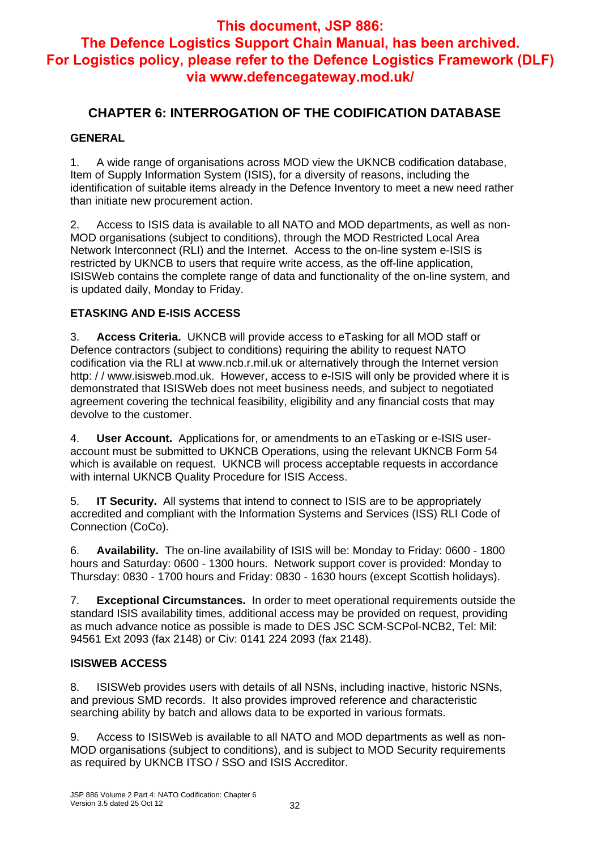## **CHAPTER 6: INTERROGATION OF THE CODIFICATION DATABASE**

#### **GENERAL**

1. A wide range of organisations across MOD view the UKNCB codification database, Item of Supply Information System (ISIS), for a diversity of reasons, including the identification of suitable items already in the Defence Inventory to meet a new need rather than initiate new procurement action.

2. Access to ISIS data is available to all NATO and MOD departments, as well as non-MOD organisations (subject to conditions), through the MOD Restricted Local Area Network Interconnect (RLI) and the Internet. Access to the on-line system e-ISIS is restricted by UKNCB to users that require write access, as the off-line application, ISISWeb contains the complete range of data and functionality of the on-line system, and is updated daily, Monday to Friday.

#### **ETASKING AND E-ISIS ACCESS**

3. **Access Criteria.** UKNCB will provide access to eTasking for all MOD staff or Defence contractors (subject to conditions) requiring the ability to request NATO codification via the RLI at www.ncb.r.mil.uk or alternatively through the Internet version http: / / www.isisweb.mod.uk. However, access to e-ISIS will only be provided where it is demonstrated that ISISWeb does not meet business needs, and subject to negotiated agreement covering the technical feasibility, eligibility and any financial costs that may devolve to the customer.

4. **User Account.** Applications for, or amendments to an eTasking or e-ISIS useraccount must be submitted to UKNCB Operations, using the relevant UKNCB Form 54 which is available on request. UKNCB will process acceptable requests in accordance with internal UKNCB Quality Procedure for ISIS Access.

5. **IT Security.** All systems that intend to connect to ISIS are to be appropriately accredited and compliant with the Information Systems and Services (ISS) RLI Code of Connection (CoCo).

6. **Availability.** The on-line availability of ISIS will be: Monday to Friday: 0600 - 1800 hours and Saturday: 0600 - 1300 hours. Network support cover is provided: Monday to Thursday: 0830 - 1700 hours and Friday: 0830 - 1630 hours (except Scottish holidays).

7. **Exceptional Circumstances.** In order to meet operational requirements outside the standard ISIS availability times, additional access may be provided on request, providing as much advance notice as possible is made to DES JSC SCM-SCPol-NCB2, Tel: Mil: 94561 Ext 2093 (fax 2148) or Civ: 0141 224 2093 (fax 2148).

#### **ISISWEB ACCESS**

8. ISISWeb provides users with details of all NSNs, including inactive, historic NSNs, and previous SMD records. It also provides improved reference and characteristic searching ability by batch and allows data to be exported in various formats.

9. Access to ISISWeb is available to all NATO and MOD departments as well as non-MOD organisations (subject to conditions), and is subject to MOD Security requirements as required by UKNCB ITSO / SSO and ISIS Accreditor.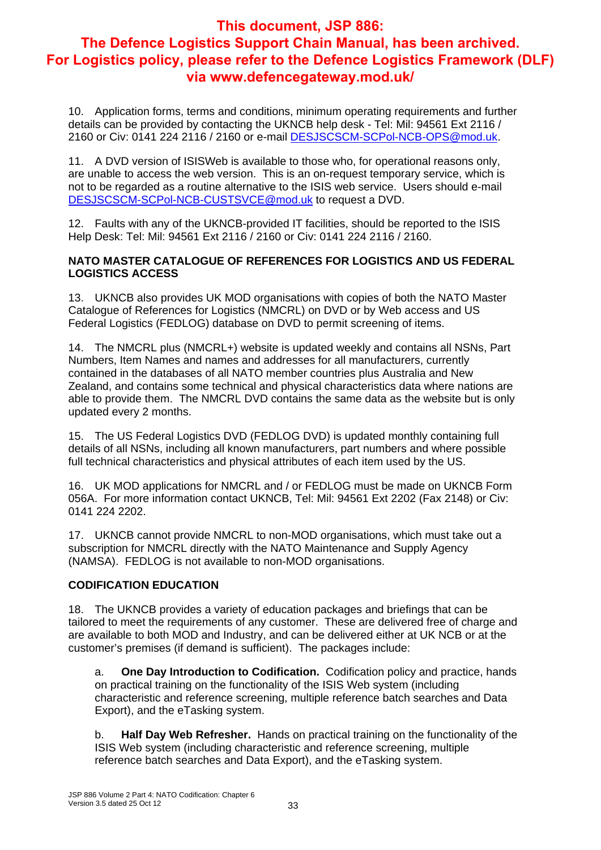10. Application forms, terms and conditions, minimum operating requirements and further details can be provided by contacting the UKNCB help desk - Tel: Mil: 94561 Ext 2116 / 2160 or Civ: 0141 224 2116 / 2160 or e-mail DESJSCSCM-SCPol-NCB-OPS@mod.uk.

11. A DVD version of ISISWeb is available to those who, for operational reasons only, are unable to access the web version. This is an on-request temporary service, which is not to be regarded as a routine alternative to the ISIS web service. Users should e-mail DESJSCSCM-SCPol-NCB-CUSTSVCE@mod.uk to request a DVD.

12. Faults with any of the UKNCB-provided IT facilities, should be reported to the ISIS Help Desk: Tel: Mil: 94561 Ext 2116 / 2160 or Civ: 0141 224 2116 / 2160.

#### **NATO MASTER CATALOGUE OF REFERENCES FOR LOGISTICS AND US FEDERAL LOGISTICS ACCESS**

13. UKNCB also provides UK MOD organisations with copies of both the NATO Master Catalogue of References for Logistics (NMCRL) on DVD or by Web access and US Federal Logistics (FEDLOG) database on DVD to permit screening of items.

14. The NMCRL plus (NMCRL+) website is updated weekly and contains all NSNs, Part Numbers, Item Names and names and addresses for all manufacturers, currently contained in the databases of all NATO member countries plus Australia and New Zealand, and contains some technical and physical characteristics data where nations are able to provide them. The NMCRL DVD contains the same data as the website but is only updated every 2 months.

15. The US Federal Logistics DVD (FEDLOG DVD) is updated monthly containing full details of all NSNs, including all known manufacturers, part numbers and where possible full technical characteristics and physical attributes of each item used by the US.

16. UK MOD applications for NMCRL and / or FEDLOG must be made on UKNCB Form 056A. For more information contact UKNCB, Tel: Mil: 94561 Ext 2202 (Fax 2148) or Civ: 0141 224 2202.

17. UKNCB cannot provide NMCRL to non-MOD organisations, which must take out a subscription for NMCRL directly with the NATO Maintenance and Supply Agency (NAMSA). FEDLOG is not available to non-MOD organisations.

#### **CODIFICATION EDUCATION**

18. The UKNCB provides a variety of education packages and briefings that can be tailored to meet the requirements of any customer. These are delivered free of charge and are available to both MOD and Industry, and can be delivered either at UK NCB or at the customer's premises (if demand is sufficient). The packages include:

a. **One Day Introduction to Codification.** Codification policy and practice, hands on practical training on the functionality of the ISIS Web system (including characteristic and reference screening, multiple reference batch searches and Data Export), and the eTasking system.

b. **Half Day Web Refresher.** Hands on practical training on the functionality of the ISIS Web system (including characteristic and reference screening, multiple reference batch searches and Data Export), and the eTasking system.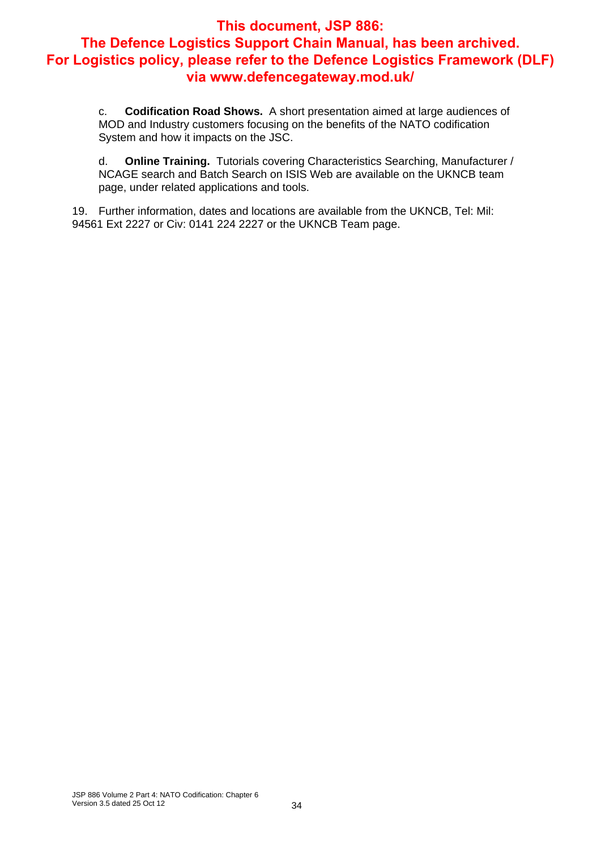c. **Codification Road Shows.** A short presentation aimed at large audiences of MOD and Industry customers focusing on the benefits of the NATO codification System and how it impacts on the JSC.

d. **Online Training.** Tutorials covering Characteristics Searching, Manufacturer / NCAGE search and Batch Search on ISIS Web are available on the UKNCB team page, under related applications and tools.

19. Further information, dates and locations are available from the UKNCB, Tel: Mil: 94561 Ext 2227 or Civ: 0141 224 2227 or the UKNCB Team page.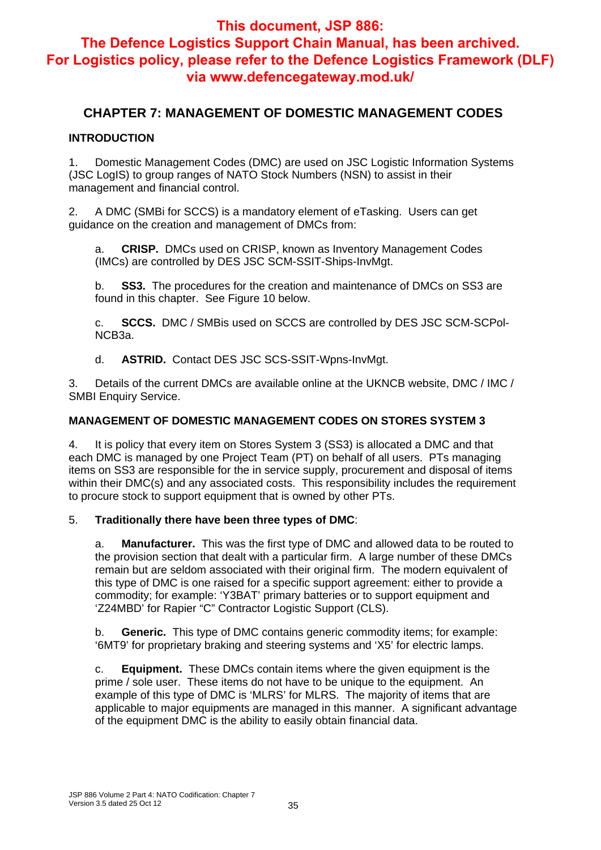## **This document, JSP 886:**

## **The Defence Logistics Support Chain Manual, has been archived. For Logistics policy, please refer to the Defence Logistics Framework (DLF) via www.defencegateway.mod.uk/**

#### **CHAPTER 7: MANAGEMENT OF DOMESTIC MANAGEMENT CODES**

#### **INTRODUCTION**

1. Domestic Management Codes (DMC) are used on JSC Logistic Information Systems (JSC LogIS) to group ranges of NATO Stock Numbers (NSN) to assist in their management and financial control.

2. A DMC (SMBi for SCCS) is a mandatory element of eTasking. Users can get guidance on the creation and management of DMCs from:

a. **CRISP.** DMCs used on CRISP, known as Inventory Management Codes (IMCs) are controlled by DES JSC SCM-SSIT-Ships-InvMgt.

b. **SS3.** The procedures for the creation and maintenance of DMCs on SS3 are found in this chapter. See Figure 10 below.

c. **SCCS.** DMC / SMBis used on SCCS are controlled by DES JSC SCM-SCPol-NCB3a.

d. **ASTRID.** Contact DES JSC SCS-SSIT-Wpns-InvMgt.

3. Details of the current DMCs are available online at the UKNCB website, DMC / IMC / SMBI Enquiry Service.

#### **MANAGEMENT OF DOMESTIC MANAGEMENT CODES ON STORES SYSTEM 3**

4. It is policy that every item on Stores System 3 (SS3) is allocated a DMC and that each DMC is managed by one Project Team (PT) on behalf of all users. PTs managing items on SS3 are responsible for the in service supply, procurement and disposal of items within their DMC(s) and any associated costs. This responsibility includes the requirement to procure stock to support equipment that is owned by other PTs.

#### 5. **Traditionally there have been three types of DMC**:

a. **Manufacturer.** This was the first type of DMC and allowed data to be routed to the provision section that dealt with a particular firm. A large number of these DMCs remain but are seldom associated with their original firm. The modern equivalent of this type of DMC is one raised for a specific support agreement: either to provide a commodity; for example: 'Y3BAT' primary batteries or to support equipment and 'Z24MBD' for Rapier "C" Contractor Logistic Support (CLS).

b. **Generic.** This type of DMC contains generic commodity items; for example: '6MT9' for proprietary braking and steering systems and 'X5' for electric lamps.

c. **Equipment.** These DMCs contain items where the given equipment is the prime / sole user. These items do not have to be unique to the equipment. An example of this type of DMC is 'MLRS' for MLRS. The majority of items that are applicable to major equipments are managed in this manner. A significant advantage of the equipment DMC is the ability to easily obtain financial data.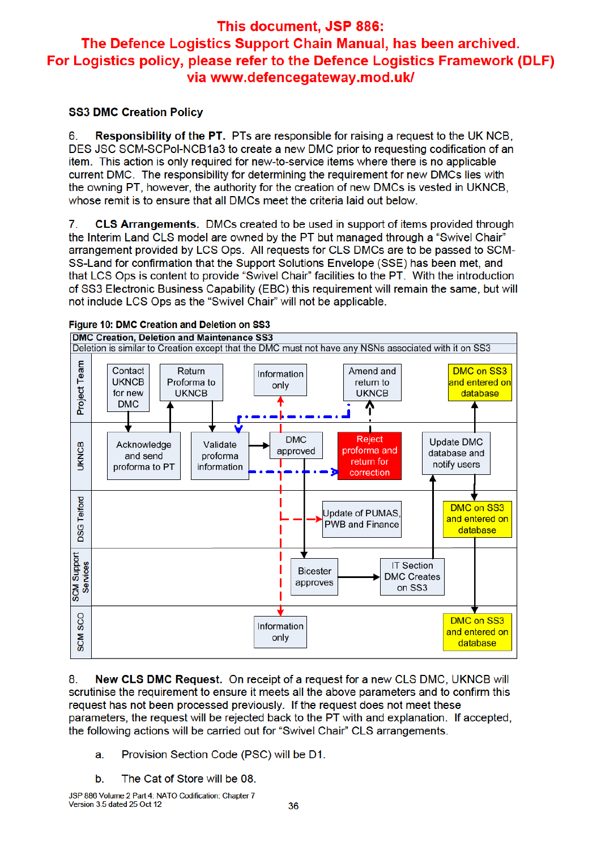#### **SS3 DMC Creation Policy**

**Responsibility of the PT.** PTs are responsible for raising a request to the UK NCB. 6. DES JSC SCM-SCPol-NCB1a3 to create a new DMC prior to requesting codification of an item. This action is only required for new-to-service items where there is no applicable current DMC. The responsibility for determining the requirement for new DMCs lies with the owning PT, however, the authority for the creation of new DMCs is vested in UKNCB. whose remit is to ensure that all DMCs meet the criteria laid out below.

 $\mathbf{7}$ **CLS Arrangements.** DMCs created to be used in support of items provided through the Interim Land CLS model are owned by the PT but managed through a "Swivel Chair" arrangement provided by LCS Ops. All requests for CLS DMCs are to be passed to SCM-SS-Land for confirmation that the Support Solutions Envelope (SSE) has been met. and that LCS Ops is content to provide "Swivel Chair" facilities to the PT. With the introduction of SS3 Electronic Business Capability (EBC) this requirement will remain the same, but will not include LCS Ops as the "Swivel Chair" will not be applicable.



Figure 10: DMC Creation and Deletion on SS3

New CLS DMC Request. On receipt of a request for a new CLS DMC, UKNCB will 8. scrutinise the requirement to ensure it meets all the above parameters and to confirm this request has not been processed previously. If the request does not meet these parameters, the request will be rejected back to the PT with and explanation. If accepted, the following actions will be carried out for "Swivel Chair" CLS arrangements.

- Provision Section Code (PSC) will be D1. a.
- The Cat of Store will be 08. b.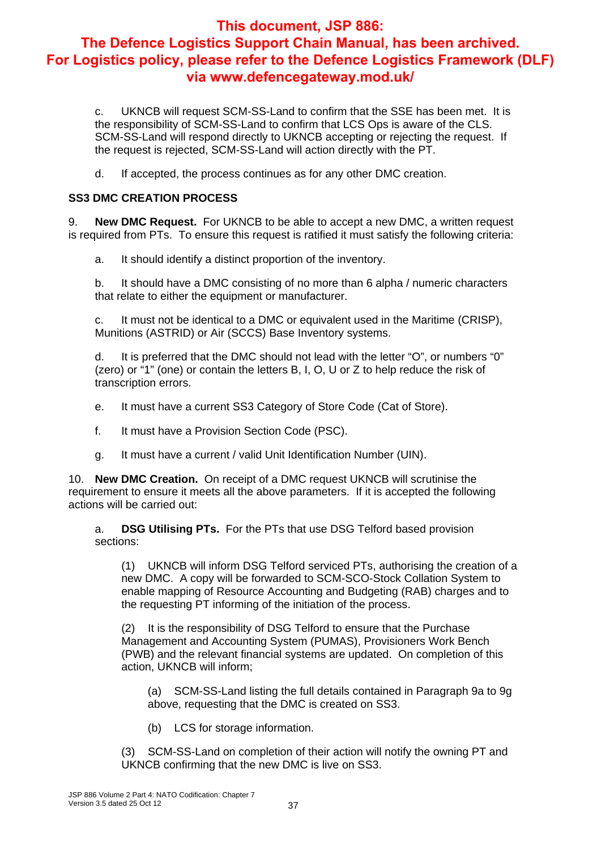c. UKNCB will request SCM-SS-Land to confirm that the SSE has been met. It is the responsibility of SCM-SS-Land to confirm that LCS Ops is aware of the CLS. SCM-SS-Land will respond directly to UKNCB accepting or rejecting the request. If the request is rejected, SCM-SS-Land will action directly with the PT.

d. If accepted, the process continues as for any other DMC creation.

#### **SS3 DMC CREATION PROCESS**

9. **New DMC Request.** For UKNCB to be able to accept a new DMC, a written request is required from PTs. To ensure this request is ratified it must satisfy the following criteria:

a. It should identify a distinct proportion of the inventory.

b. It should have a DMC consisting of no more than 6 alpha / numeric characters that relate to either the equipment or manufacturer.

c. It must not be identical to a DMC or equivalent used in the Maritime (CRISP), Munitions (ASTRID) or Air (SCCS) Base Inventory systems.

d. It is preferred that the DMC should not lead with the letter "O", or numbers "0" (zero) or "1" (one) or contain the letters B, I, O, U or Z to help reduce the risk of transcription errors.

- e. It must have a current SS3 Category of Store Code (Cat of Store).
- f. It must have a Provision Section Code (PSC).
- g. It must have a current / valid Unit Identification Number (UIN).

10. **New DMC Creation.** On receipt of a DMC request UKNCB will scrutinise the requirement to ensure it meets all the above parameters. If it is accepted the following actions will be carried out:

a. **DSG Utilising PTs.** For the PTs that use DSG Telford based provision sections:

(1) UKNCB will inform DSG Telford serviced PTs, authorising the creation of a new DMC. A copy will be forwarded to SCM-SCO-Stock Collation System to enable mapping of Resource Accounting and Budgeting (RAB) charges and to the requesting PT informing of the initiation of the process.

(2) It is the responsibility of DSG Telford to ensure that the Purchase Management and Accounting System (PUMAS), Provisioners Work Bench (PWB) and the relevant financial systems are updated. On completion of this action, UKNCB will inform;

(a) SCM-SS-Land listing the full details contained in Paragraph 9a to 9g above, requesting that the DMC is created on SS3.

(b) LCS for storage information.

(3) SCM-SS-Land on completion of their action will notify the owning PT and UKNCB confirming that the new DMC is live on SS3.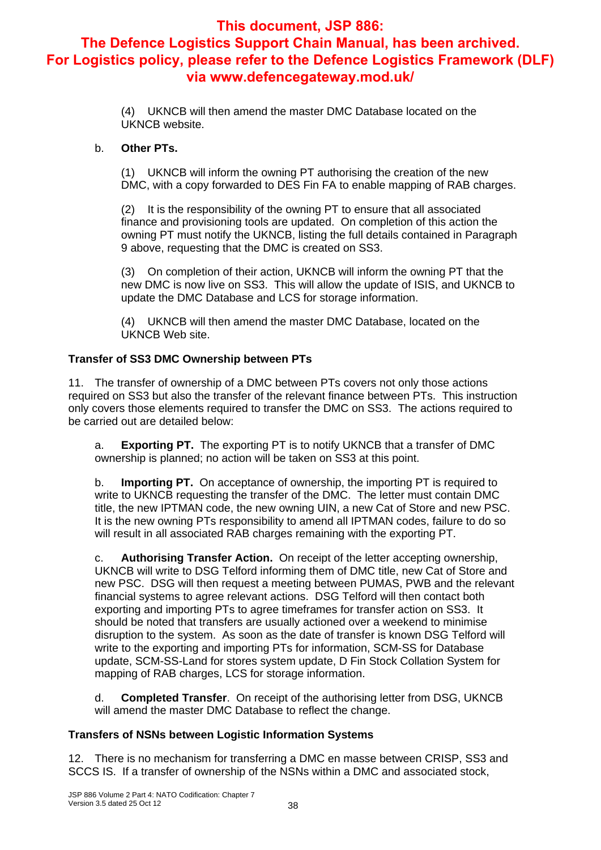(4) UKNCB will then amend the master DMC Database located on the UKNCB website.

#### b. **Other PTs.**

(1) UKNCB will inform the owning PT authorising the creation of the new DMC, with a copy forwarded to DES Fin FA to enable mapping of RAB charges.

(2) It is the responsibility of the owning PT to ensure that all associated finance and provisioning tools are updated. On completion of this action the owning PT must notify the UKNCB, listing the full details contained in Paragraph 9 above, requesting that the DMC is created on SS3.

(3) On completion of their action, UKNCB will inform the owning PT that the new DMC is now live on SS3. This will allow the update of ISIS, and UKNCB to update the DMC Database and LCS for storage information.

(4) UKNCB will then amend the master DMC Database, located on the UKNCB Web site.

#### **Transfer of SS3 DMC Ownership between PTs**

11. The transfer of ownership of a DMC between PTs covers not only those actions required on SS3 but also the transfer of the relevant finance between PTs. This instruction only covers those elements required to transfer the DMC on SS3. The actions required to be carried out are detailed below:

a. **Exporting PT.** The exporting PT is to notify UKNCB that a transfer of DMC ownership is planned; no action will be taken on SS3 at this point.

b. **Importing PT.** On acceptance of ownership, the importing PT is required to write to UKNCB requesting the transfer of the DMC. The letter must contain DMC title, the new IPTMAN code, the new owning UIN, a new Cat of Store and new PSC. It is the new owning PTs responsibility to amend all IPTMAN codes, failure to do so will result in all associated RAB charges remaining with the exporting PT.

c. **Authorising Transfer Action.** On receipt of the letter accepting ownership, UKNCB will write to DSG Telford informing them of DMC title, new Cat of Store and new PSC. DSG will then request a meeting between PUMAS, PWB and the relevant financial systems to agree relevant actions. DSG Telford will then contact both exporting and importing PTs to agree timeframes for transfer action on SS3. It should be noted that transfers are usually actioned over a weekend to minimise disruption to the system. As soon as the date of transfer is known DSG Telford will write to the exporting and importing PTs for information, SCM-SS for Database update, SCM-SS-Land for stores system update, D Fin Stock Collation System for mapping of RAB charges, LCS for storage information.

d. **Completed Transfer**. On receipt of the authorising letter from DSG, UKNCB will amend the master DMC Database to reflect the change.

#### **Transfers of NSNs between Logistic Information Systems**

12. There is no mechanism for transferring a DMC en masse between CRISP, SS3 and SCCS IS. If a transfer of ownership of the NSNs within a DMC and associated stock,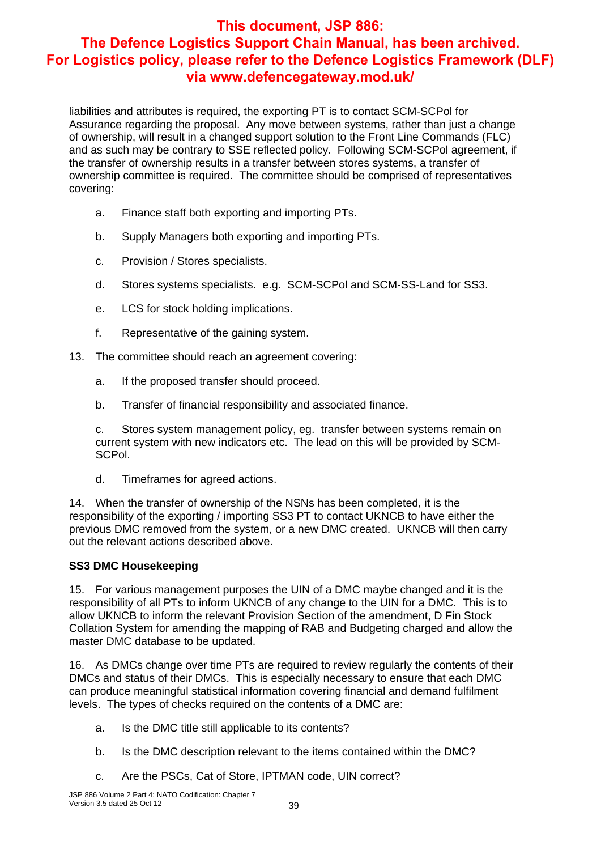liabilities and attributes is required, the exporting PT is to contact SCM-SCPol for Assurance regarding the proposal. Any move between systems, rather than just a change of ownership, will result in a changed support solution to the Front Line Commands (FLC) and as such may be contrary to SSE reflected policy. Following SCM-SCPol agreement, if the transfer of ownership results in a transfer between stores systems, a transfer of ownership committee is required. The committee should be comprised of representatives covering:

- a. Finance staff both exporting and importing PTs.
- b. Supply Managers both exporting and importing PTs.
- c. Provision / Stores specialists.
- d. Stores systems specialists. e.g. SCM-SCPol and SCM-SS-Land for SS3.
- e. LCS for stock holding implications.
- f. Representative of the gaining system.
- 13. The committee should reach an agreement covering:
	- a. If the proposed transfer should proceed.
	- b. Transfer of financial responsibility and associated finance.

c. Stores system management policy, eg. transfer between systems remain on current system with new indicators etc. The lead on this will be provided by SCM-SCPol.

d. Timeframes for agreed actions.

14. When the transfer of ownership of the NSNs has been completed, it is the responsibility of the exporting / importing SS3 PT to contact UKNCB to have either the previous DMC removed from the system, or a new DMC created. UKNCB will then carry out the relevant actions described above.

#### **SS3 DMC Housekeeping**

15. For various management purposes the UIN of a DMC maybe changed and it is the responsibility of all PTs to inform UKNCB of any change to the UIN for a DMC. This is to allow UKNCB to inform the relevant Provision Section of the amendment, D Fin Stock Collation System for amending the mapping of RAB and Budgeting charged and allow the master DMC database to be updated.

16. As DMCs change over time PTs are required to review regularly the contents of their DMCs and status of their DMCs. This is especially necessary to ensure that each DMC can produce meaningful statistical information covering financial and demand fulfilment levels. The types of checks required on the contents of a DMC are:

- a. Is the DMC title still applicable to its contents?
- b. Is the DMC description relevant to the items contained within the DMC?
- c. Are the PSCs, Cat of Store, IPTMAN code, UIN correct?